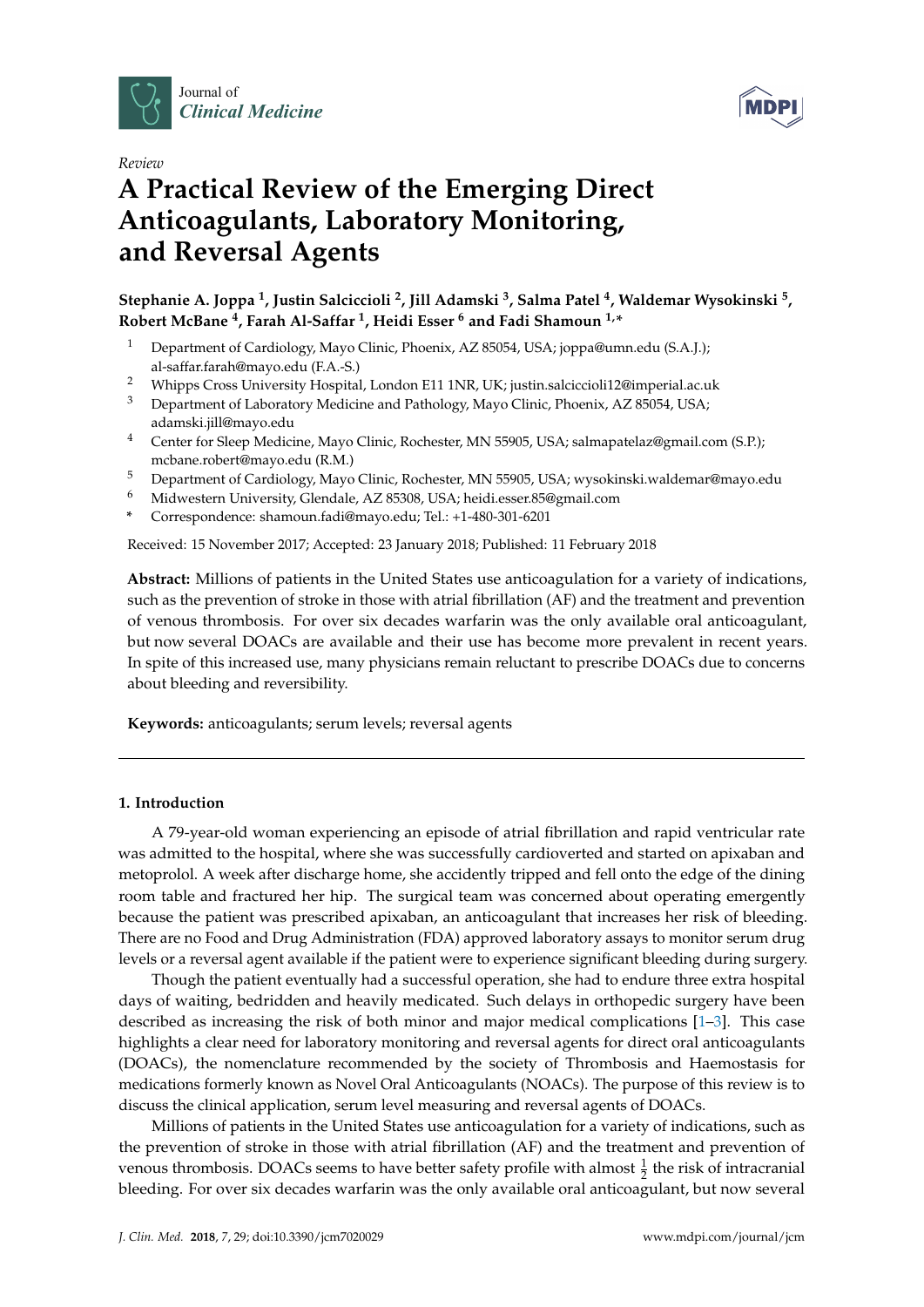



# *Review* **A Practical Review of the Emerging Direct Anticoagulants, Laboratory Monitoring, and Reversal Agents**

**Stephanie A. Joppa <sup>1</sup> , Justin Salciccioli <sup>2</sup> , Jill Adamski <sup>3</sup> , Salma Patel <sup>4</sup> , Waldemar Wysokinski <sup>5</sup> , Robert McBane <sup>4</sup> , Farah Al-Saffar <sup>1</sup> , Heidi Esser <sup>6</sup> and Fadi Shamoun 1,\***

- <sup>1</sup> Department of Cardiology, Mayo Clinic, Phoenix, AZ 85054, USA; joppa@umn.edu (S.A.J.); al-saffar.farah@mayo.edu (F.A.-S.)
- <sup>2</sup> Whipps Cross University Hospital, London E11 1NR, UK; justin.salciccioli12@imperial.ac.uk<br><sup>3</sup> Department of Jaboratory Modicine and Pathology Mayo Clinic Phoenix, AZ 85054, USA.
- <sup>3</sup> Department of Laboratory Medicine and Pathology, Mayo Clinic, Phoenix, AZ 85054, USA; adamski.jill@mayo.edu
- <sup>4</sup> Center for Sleep Medicine, Mayo Clinic, Rochester, MN 55905, USA; salmapatelaz@gmail.com (S.P.); mcbane.robert@mayo.edu (R.M.)
- <sup>5</sup> Department of Cardiology, Mayo Clinic, Rochester, MN 55905, USA; wysokinski.waldemar@mayo.edu
- <sup>6</sup> Midwestern University, Glendale, AZ 85308, USA; heidi.esser.85@gmail.com
- **\*** Correspondence: shamoun.fadi@mayo.edu; Tel.: +1-480-301-6201

Received: 15 November 2017; Accepted: 23 January 2018; Published: 11 February 2018

**Abstract:** Millions of patients in the United States use anticoagulation for a variety of indications, such as the prevention of stroke in those with atrial fibrillation (AF) and the treatment and prevention of venous thrombosis. For over six decades warfarin was the only available oral anticoagulant, but now several DOACs are available and their use has become more prevalent in recent years. In spite of this increased use, many physicians remain reluctant to prescribe DOACs due to concerns about bleeding and reversibility.

**Keywords:** anticoagulants; serum levels; reversal agents

# **1. Introduction**

A 79-year-old woman experiencing an episode of atrial fibrillation and rapid ventricular rate was admitted to the hospital, where she was successfully cardioverted and started on apixaban and metoprolol. A week after discharge home, she accidently tripped and fell onto the edge of the dining room table and fractured her hip. The surgical team was concerned about operating emergently because the patient was prescribed apixaban, an anticoagulant that increases her risk of bleeding. There are no Food and Drug Administration (FDA) approved laboratory assays to monitor serum drug levels or a reversal agent available if the patient were to experience significant bleeding during surgery.

Though the patient eventually had a successful operation, she had to endure three extra hospital days of waiting, bedridden and heavily medicated. Such delays in orthopedic surgery have been described as increasing the risk of both minor and major medical complications [\[1](#page-8-0)[–3\]](#page-8-1). This case highlights a clear need for laboratory monitoring and reversal agents for direct oral anticoagulants (DOACs), the nomenclature recommended by the society of Thrombosis and Haemostasis for medications formerly known as Novel Oral Anticoagulants (NOACs). The purpose of this review is to discuss the clinical application, serum level measuring and reversal agents of DOACs.

Millions of patients in the United States use anticoagulation for a variety of indications, such as the prevention of stroke in those with atrial fibrillation (AF) and the treatment and prevention of venous thrombosis. DOACs seems to have better safety profile with almost  $\frac{1}{2}$  the risk of intracranial bleeding. For over six decades warfarin was the only available oral anticoagulant, but now several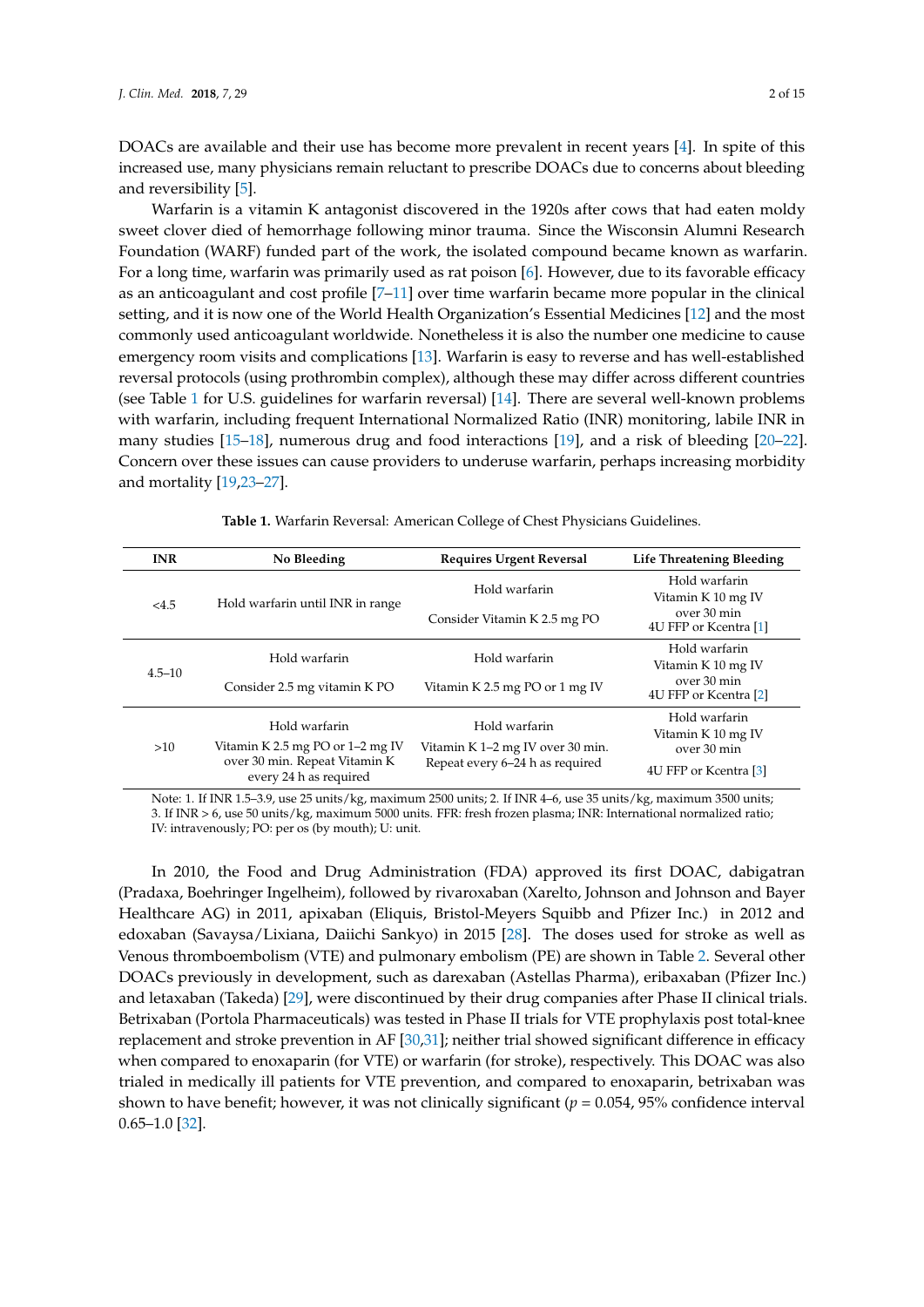DOACs are available and their use has become more prevalent in recent years [\[4\]](#page-8-2). In spite of this increased use, many physicians remain reluctant to prescribe DOACs due to concerns about bleeding and reversibility [\[5\]](#page-8-3).

Warfarin is a vitamin K antagonist discovered in the 1920s after cows that had eaten moldy sweet clover died of hemorrhage following minor trauma. Since the Wisconsin Alumni Research Foundation (WARF) funded part of the work, the isolated compound became known as warfarin. For a long time, warfarin was primarily used as rat poison [\[6\]](#page-8-4). However, due to its favorable efficacy as an anticoagulant and cost profile [\[7–](#page-8-5)[11\]](#page-8-6) over time warfarin became more popular in the clinical setting, and it is now one of the World Health Organization's Essential Medicines [\[12\]](#page-8-7) and the most commonly used anticoagulant worldwide. Nonetheless it is also the number one medicine to cause emergency room visits and complications [\[13\]](#page-8-8). Warfarin is easy to reverse and has well-established reversal protocols (using prothrombin complex), although these may differ across different countries (see Table [1](#page-1-0) for U.S. guidelines for warfarin reversal) [\[14\]](#page-8-9). There are several well-known problems with warfarin, including frequent International Normalized Ratio (INR) monitoring, labile INR in many studies [\[15](#page-8-10)[–18\]](#page-9-0), numerous drug and food interactions [\[19\]](#page-9-1), and a risk of bleeding [\[20–](#page-9-2)[22\]](#page-9-3). Concern over these issues can cause providers to underuse warfarin, perhaps increasing morbidity and mortality [\[19,](#page-9-1)[23](#page-9-4)[–27\]](#page-9-5).

<span id="page-1-0"></span>

| <b>INR</b> | No Bleeding                                                                                   | <b>Requires Urgent Reversal</b>                                     | Life Threatening Bleeding            |  |
|------------|-----------------------------------------------------------------------------------------------|---------------------------------------------------------------------|--------------------------------------|--|
| <4.5       | Hold warfarin until INR in range                                                              | Hold warfarin                                                       | Hold warfarin<br>Vitamin K 10 mg IV  |  |
|            |                                                                                               | Consider Vitamin K 2.5 mg PO                                        | over 30 min<br>4U FFP or Kcentra [1] |  |
| $4.5 - 10$ | Hold warfarin                                                                                 | Hold warfarin                                                       | Hold warfarin<br>Vitamin K 10 mg IV  |  |
|            | Consider 2.5 mg vitamin K PO                                                                  | Vitamin K 2.5 mg PO or 1 mg IV                                      | over 30 min<br>4U FFP or Kcentra [2] |  |
| >10        | Hold warfarin                                                                                 | Hold warfarin                                                       | Hold warfarin<br>Vitamin K 10 mg IV  |  |
|            | Vitamin K 2.5 mg PO or $1-2$ mg IV<br>over 30 min. Repeat Vitamin K<br>every 24 h as required | Vitamin K 1–2 mg IV over 30 min.<br>Repeat every 6–24 h as required | over 30 min<br>4U FFP or Kcentra [3] |  |

**Table 1.** Warfarin Reversal: American College of Chest Physicians Guidelines.

Note: 1. If INR 1.5–3.9, use 25 units/kg, maximum 2500 units; 2. If INR 4–6, use 35 units/kg, maximum 3500 units; 3. If INR > 6, use 50 units/kg, maximum 5000 units. FFR: fresh frozen plasma; INR: International normalized ratio; IV: intravenously; PO: per os (by mouth); U: unit.

In 2010, the Food and Drug Administration (FDA) approved its first DOAC, dabigatran (Pradaxa, Boehringer Ingelheim), followed by rivaroxaban (Xarelto, Johnson and Johnson and Bayer Healthcare AG) in 2011, apixaban (Eliquis, Bristol-Meyers Squibb and Pfizer Inc.) in 2012 and edoxaban (Savaysa/Lixiana, Daiichi Sankyo) in 2015 [\[28\]](#page-9-6). The doses used for stroke as well as Venous thromboembolism (VTE) and pulmonary embolism (PE) are shown in Table [2.](#page-2-0) Several other DOACs previously in development, such as darexaban (Astellas Pharma), eribaxaban (Pfizer Inc.) and letaxaban (Takeda) [\[29\]](#page-9-7), were discontinued by their drug companies after Phase II clinical trials. Betrixaban (Portola Pharmaceuticals) was tested in Phase II trials for VTE prophylaxis post total-knee replacement and stroke prevention in AF [\[30](#page-9-8)[,31\]](#page-9-9); neither trial showed significant difference in efficacy when compared to enoxaparin (for VTE) or warfarin (for stroke), respectively. This DOAC was also trialed in medically ill patients for VTE prevention, and compared to enoxaparin, betrixaban was shown to have benefit; however, it was not clinically significant ( $p = 0.054$ , 95% confidence interval 0.65–1.0 [\[32\]](#page-9-10).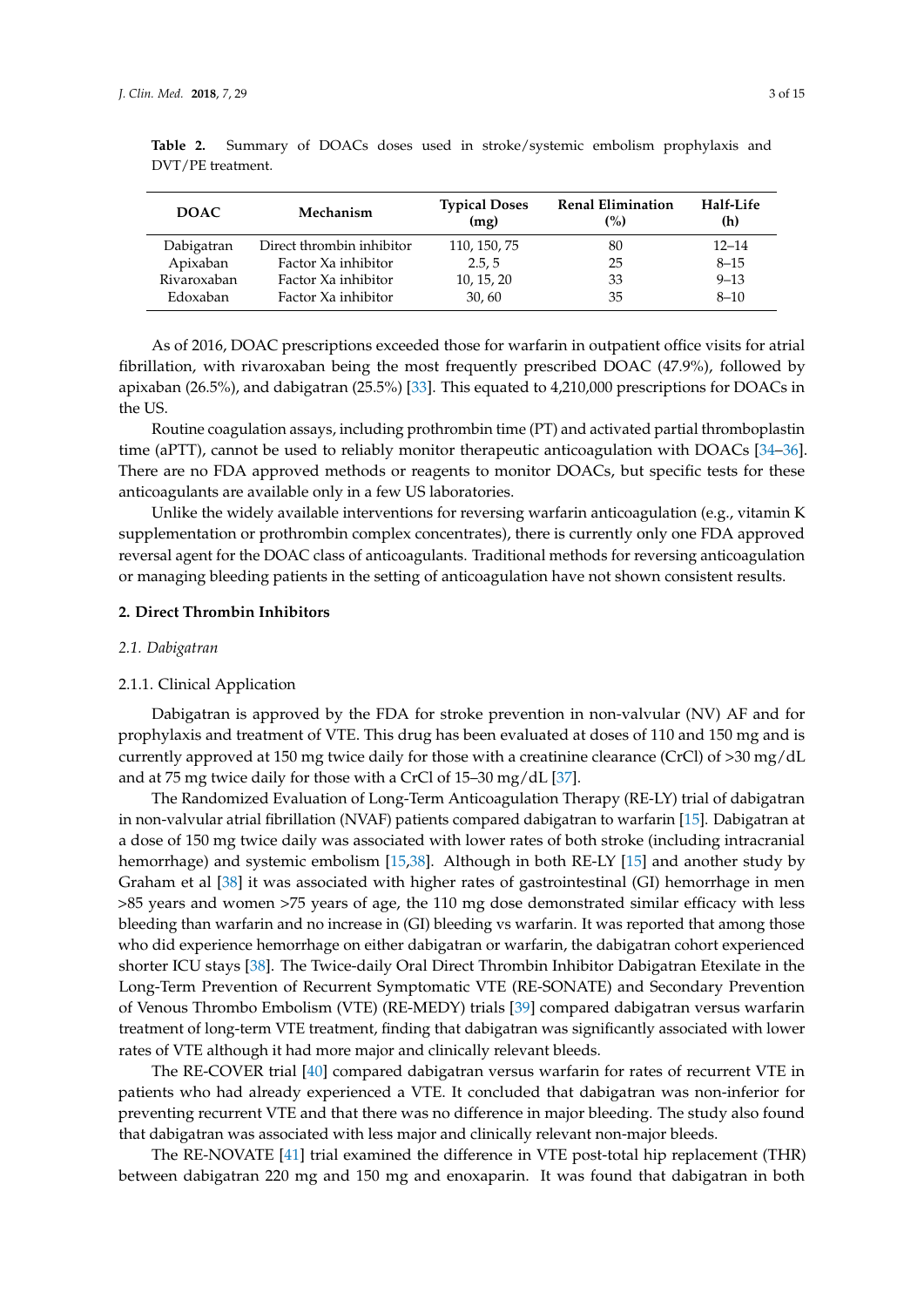| <b>DOAC</b> | Mechanism                 | <b>Typical Doses</b><br>(mg) | <b>Renal Elimination</b><br>(%) | Half-Life<br>(h) |
|-------------|---------------------------|------------------------------|---------------------------------|------------------|
| Dabigatran  | Direct thrombin inhibitor | 110, 150, 75                 | 80                              | $12 - 14$        |
| Apixaban    | Factor Xa inhibitor       | 2.5, 5                       | 25                              | $8 - 15$         |
| Rivaroxaban | Factor Xa inhibitor       | 10, 15, 20                   | 33                              | $9 - 13$         |
| Edoxaban    | Factor Xa inhibitor       | 30,60                        | 35                              | $8 - 10$         |

<span id="page-2-0"></span>**Table 2.** Summary of DOACs doses used in stroke/systemic embolism prophylaxis and DVT/PE treatment.

As of 2016, DOAC prescriptions exceeded those for warfarin in outpatient office visits for atrial fibrillation, with rivaroxaban being the most frequently prescribed DOAC (47.9%), followed by apixaban (26.5%), and dabigatran (25.5%) [\[33\]](#page-9-11). This equated to 4,210,000 prescriptions for DOACs in the US.

Routine coagulation assays, including prothrombin time (PT) and activated partial thromboplastin time (aPTT), cannot be used to reliably monitor therapeutic anticoagulation with DOACs [\[34–](#page-9-12)[36\]](#page-9-13). There are no FDA approved methods or reagents to monitor DOACs, but specific tests for these anticoagulants are available only in a few US laboratories.

Unlike the widely available interventions for reversing warfarin anticoagulation (e.g., vitamin K supplementation or prothrombin complex concentrates), there is currently only one FDA approved reversal agent for the DOAC class of anticoagulants. Traditional methods for reversing anticoagulation or managing bleeding patients in the setting of anticoagulation have not shown consistent results.

## **2. Direct Thrombin Inhibitors**

#### *2.1. Dabigatran*

#### 2.1.1. Clinical Application

Dabigatran is approved by the FDA for stroke prevention in non-valvular (NV) AF and for prophylaxis and treatment of VTE. This drug has been evaluated at doses of 110 and 150 mg and is currently approved at 150 mg twice daily for those with a creatinine clearance (CrCl) of >30 mg/dL and at 75 mg twice daily for those with a CrCl of 15–30 mg/dL [\[37\]](#page-9-14).

The Randomized Evaluation of Long-Term Anticoagulation Therapy (RE-LY) trial of dabigatran in non-valvular atrial fibrillation (NVAF) patients compared dabigatran to warfarin [\[15\]](#page-8-10). Dabigatran at a dose of 150 mg twice daily was associated with lower rates of both stroke (including intracranial hemorrhage) and systemic embolism [\[15,](#page-8-10)[38\]](#page-10-0). Although in both RE-LY [\[15\]](#page-8-10) and another study by Graham et al [\[38\]](#page-10-0) it was associated with higher rates of gastrointestinal (GI) hemorrhage in men >85 years and women >75 years of age, the 110 mg dose demonstrated similar efficacy with less bleeding than warfarin and no increase in (GI) bleeding vs warfarin. It was reported that among those who did experience hemorrhage on either dabigatran or warfarin, the dabigatran cohort experienced shorter ICU stays [\[38\]](#page-10-0). The Twice-daily Oral Direct Thrombin Inhibitor Dabigatran Etexilate in the Long-Term Prevention of Recurrent Symptomatic VTE (RE-SONATE) and Secondary Prevention of Venous Thrombo Embolism (VTE) (RE-MEDY) trials [\[39\]](#page-10-1) compared dabigatran versus warfarin treatment of long-term VTE treatment, finding that dabigatran was significantly associated with lower rates of VTE although it had more major and clinically relevant bleeds.

The RE-COVER trial [\[40\]](#page-10-2) compared dabigatran versus warfarin for rates of recurrent VTE in patients who had already experienced a VTE. It concluded that dabigatran was non-inferior for preventing recurrent VTE and that there was no difference in major bleeding. The study also found that dabigatran was associated with less major and clinically relevant non-major bleeds.

The RE-NOVATE [\[41\]](#page-10-3) trial examined the difference in VTE post-total hip replacement (THR) between dabigatran 220 mg and 150 mg and enoxaparin. It was found that dabigatran in both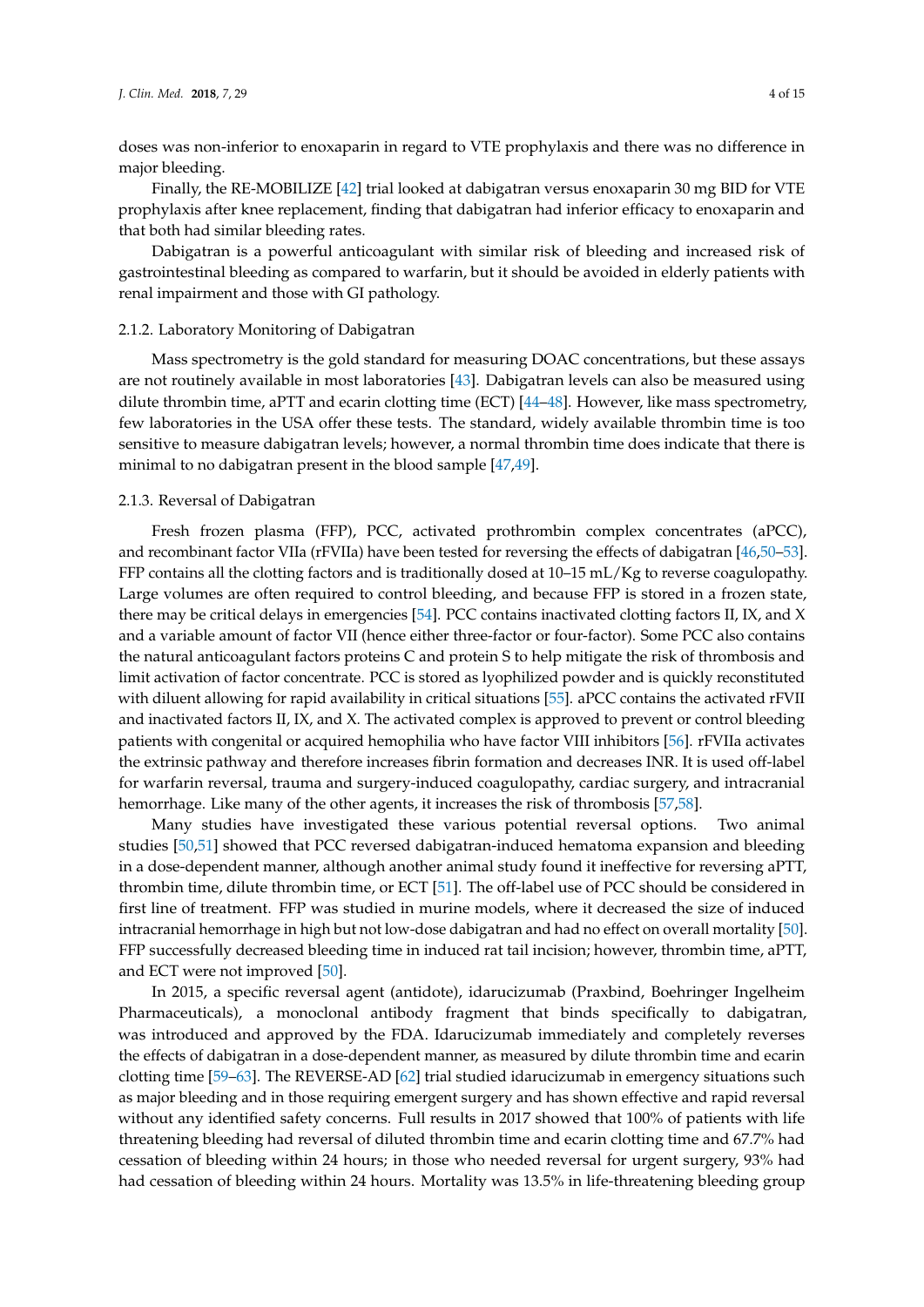doses was non-inferior to enoxaparin in regard to VTE prophylaxis and there was no difference in major bleeding.

Finally, the RE-MOBILIZE [\[42\]](#page-10-4) trial looked at dabigatran versus enoxaparin 30 mg BID for VTE prophylaxis after knee replacement, finding that dabigatran had inferior efficacy to enoxaparin and that both had similar bleeding rates.

Dabigatran is a powerful anticoagulant with similar risk of bleeding and increased risk of gastrointestinal bleeding as compared to warfarin, but it should be avoided in elderly patients with renal impairment and those with GI pathology.

## 2.1.2. Laboratory Monitoring of Dabigatran

Mass spectrometry is the gold standard for measuring DOAC concentrations, but these assays are not routinely available in most laboratories [\[43\]](#page-10-5). Dabigatran levels can also be measured using dilute thrombin time, aPTT and ecarin clotting time (ECT) [\[44–](#page-10-6)[48\]](#page-10-7). However, like mass spectrometry, few laboratories in the USA offer these tests. The standard, widely available thrombin time is too sensitive to measure dabigatran levels; however, a normal thrombin time does indicate that there is minimal to no dabigatran present in the blood sample [\[47](#page-10-8)[,49\]](#page-10-9).

## 2.1.3. Reversal of Dabigatran

Fresh frozen plasma (FFP), PCC, activated prothrombin complex concentrates (aPCC), and recombinant factor VIIa (rFVIIa) have been tested for reversing the effects of dabigatran [\[46,](#page-10-10)[50–](#page-10-11)[53\]](#page-10-12). FFP contains all the clotting factors and is traditionally dosed at 10–15 mL/Kg to reverse coagulopathy. Large volumes are often required to control bleeding, and because FFP is stored in a frozen state, there may be critical delays in emergencies [\[54\]](#page-10-13). PCC contains inactivated clotting factors II, IX, and X and a variable amount of factor VII (hence either three-factor or four-factor). Some PCC also contains the natural anticoagulant factors proteins C and protein S to help mitigate the risk of thrombosis and limit activation of factor concentrate. PCC is stored as lyophilized powder and is quickly reconstituted with diluent allowing for rapid availability in critical situations [\[55\]](#page-11-0). aPCC contains the activated rFVII and inactivated factors II, IX, and X. The activated complex is approved to prevent or control bleeding patients with congenital or acquired hemophilia who have factor VIII inhibitors [\[56\]](#page-11-1). rFVIIa activates the extrinsic pathway and therefore increases fibrin formation and decreases INR. It is used off-label for warfarin reversal, trauma and surgery-induced coagulopathy, cardiac surgery, and intracranial hemorrhage. Like many of the other agents, it increases the risk of thrombosis [\[57,](#page-11-2)[58\]](#page-11-3).

Many studies have investigated these various potential reversal options. Two animal studies [\[50](#page-10-11)[,51\]](#page-10-14) showed that PCC reversed dabigatran-induced hematoma expansion and bleeding in a dose-dependent manner, although another animal study found it ineffective for reversing aPTT, thrombin time, dilute thrombin time, or ECT [\[51\]](#page-10-14). The off-label use of PCC should be considered in first line of treatment. FFP was studied in murine models, where it decreased the size of induced intracranial hemorrhage in high but not low-dose dabigatran and had no effect on overall mortality [\[50\]](#page-10-11). FFP successfully decreased bleeding time in induced rat tail incision; however, thrombin time, aPTT, and ECT were not improved [\[50\]](#page-10-11).

In 2015, a specific reversal agent (antidote), idarucizumab (Praxbind, Boehringer Ingelheim Pharmaceuticals), a monoclonal antibody fragment that binds specifically to dabigatran, was introduced and approved by the FDA. Idarucizumab immediately and completely reverses the effects of dabigatran in a dose-dependent manner, as measured by dilute thrombin time and ecarin clotting time [\[59](#page-11-4)[–63\]](#page-11-5). The REVERSE-AD [\[62\]](#page-11-6) trial studied idarucizumab in emergency situations such as major bleeding and in those requiring emergent surgery and has shown effective and rapid reversal without any identified safety concerns. Full results in 2017 showed that 100% of patients with life threatening bleeding had reversal of diluted thrombin time and ecarin clotting time and 67.7% had cessation of bleeding within 24 hours; in those who needed reversal for urgent surgery, 93% had had cessation of bleeding within 24 hours. Mortality was 13.5% in life-threatening bleeding group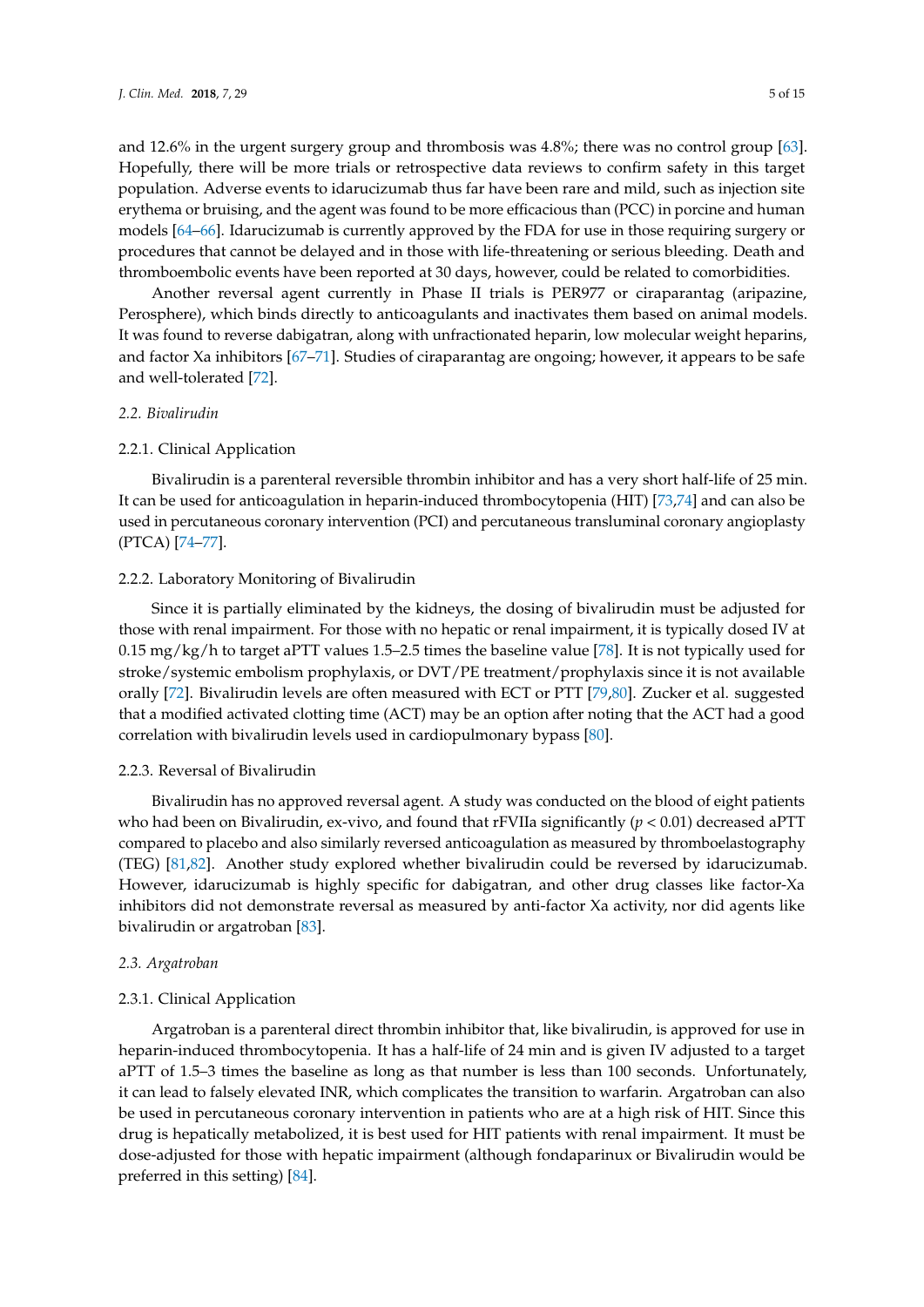and 12.6% in the urgent surgery group and thrombosis was 4.8%; there was no control group [\[63\]](#page-11-5). Hopefully, there will be more trials or retrospective data reviews to confirm safety in this target population. Adverse events to idarucizumab thus far have been rare and mild, such as injection site erythema or bruising, and the agent was found to be more efficacious than (PCC) in porcine and human models [\[64](#page-11-7)[–66\]](#page-11-8). Idarucizumab is currently approved by the FDA for use in those requiring surgery or procedures that cannot be delayed and in those with life-threatening or serious bleeding. Death and thromboembolic events have been reported at 30 days, however, could be related to comorbidities.

Another reversal agent currently in Phase II trials is PER977 or ciraparantag (aripazine, Perosphere), which binds directly to anticoagulants and inactivates them based on animal models. It was found to reverse dabigatran, along with unfractionated heparin, low molecular weight heparins, and factor Xa inhibitors [\[67](#page-11-9)[–71\]](#page-11-10). Studies of ciraparantag are ongoing; however, it appears to be safe and well-tolerated [\[72\]](#page-11-11).

## *2.2. Bivalirudin*

## 2.2.1. Clinical Application

Bivalirudin is a parenteral reversible thrombin inhibitor and has a very short half-life of 25 min. It can be used for anticoagulation in heparin-induced thrombocytopenia (HIT) [\[73,](#page-12-0)[74\]](#page-12-1) and can also be used in percutaneous coronary intervention (PCI) and percutaneous transluminal coronary angioplasty (PTCA) [\[74–](#page-12-1)[77\]](#page-12-2).

## 2.2.2. Laboratory Monitoring of Bivalirudin

Since it is partially eliminated by the kidneys, the dosing of bivalirudin must be adjusted for those with renal impairment. For those with no hepatic or renal impairment, it is typically dosed IV at 0.15 mg/kg/h to target aPTT values 1.5–2.5 times the baseline value [\[78\]](#page-12-3). It is not typically used for stroke/systemic embolism prophylaxis, or DVT/PE treatment/prophylaxis since it is not available orally [\[72\]](#page-11-11). Bivalirudin levels are often measured with ECT or PTT [\[79](#page-12-4)[,80\]](#page-12-5). Zucker et al. suggested that a modified activated clotting time (ACT) may be an option after noting that the ACT had a good correlation with bivalirudin levels used in cardiopulmonary bypass [\[80\]](#page-12-5).

#### 2.2.3. Reversal of Bivalirudin

Bivalirudin has no approved reversal agent. A study was conducted on the blood of eight patients who had been on Bivalirudin, ex-vivo, and found that rFVIIa significantly (*p* < 0.01) decreased aPTT compared to placebo and also similarly reversed anticoagulation as measured by thromboelastography (TEG) [\[81](#page-12-6)[,82\]](#page-12-7). Another study explored whether bivalirudin could be reversed by idarucizumab. However, idarucizumab is highly specific for dabigatran, and other drug classes like factor-Xa inhibitors did not demonstrate reversal as measured by anti-factor Xa activity, nor did agents like bivalirudin or argatroban [\[83\]](#page-12-8).

## *2.3. Argatroban*

#### 2.3.1. Clinical Application

Argatroban is a parenteral direct thrombin inhibitor that, like bivalirudin, is approved for use in heparin-induced thrombocytopenia. It has a half-life of 24 min and is given IV adjusted to a target aPTT of 1.5–3 times the baseline as long as that number is less than 100 seconds. Unfortunately, it can lead to falsely elevated INR, which complicates the transition to warfarin. Argatroban can also be used in percutaneous coronary intervention in patients who are at a high risk of HIT. Since this drug is hepatically metabolized, it is best used for HIT patients with renal impairment. It must be dose-adjusted for those with hepatic impairment (although fondaparinux or Bivalirudin would be preferred in this setting) [\[84\]](#page-12-9).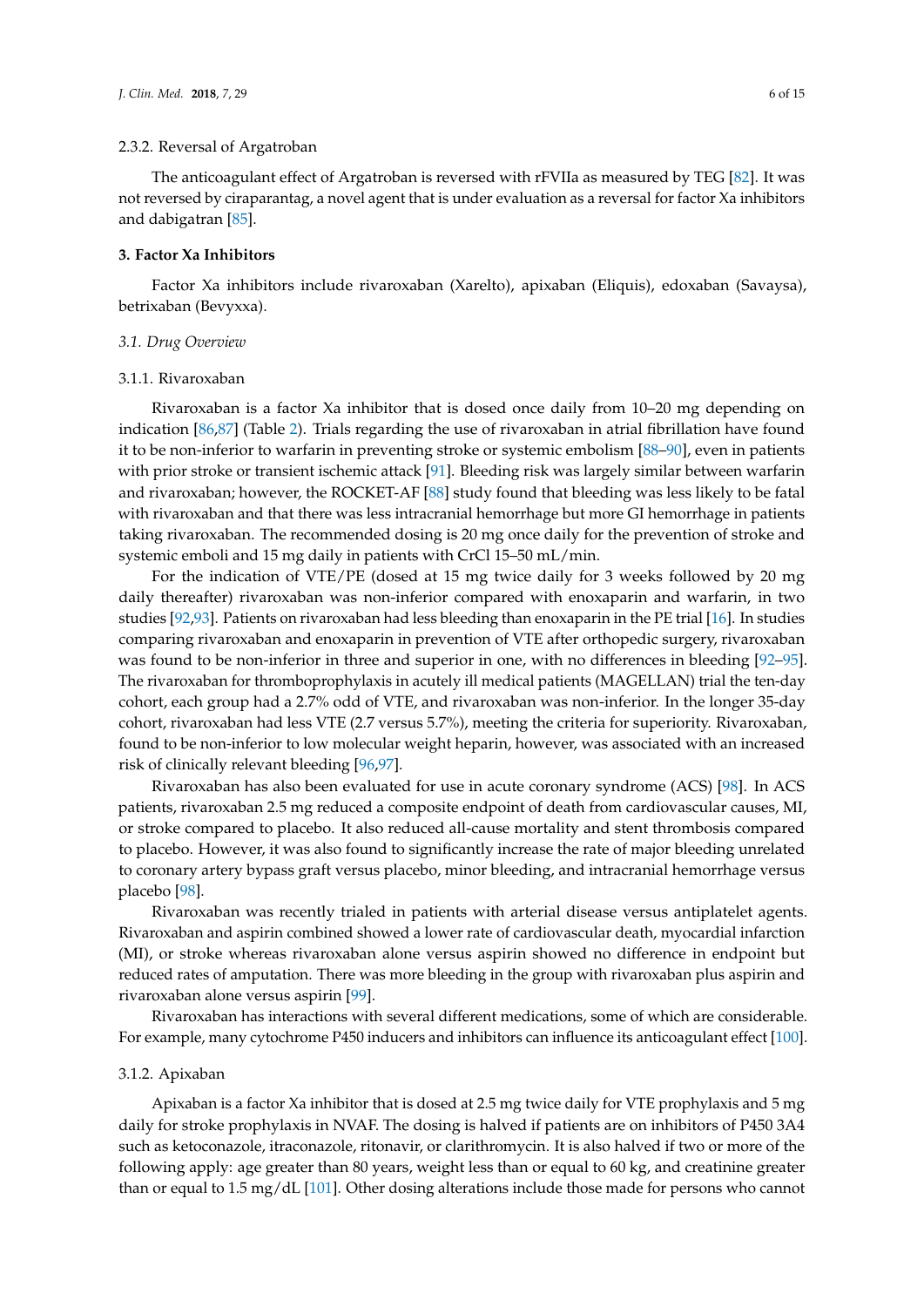## 2.3.2. Reversal of Argatroban

The anticoagulant effect of Argatroban is reversed with rFVIIa as measured by TEG [\[82\]](#page-12-7). It was not reversed by ciraparantag, a novel agent that is under evaluation as a reversal for factor Xa inhibitors and dabigatran [\[85\]](#page-12-10).

#### **3. Factor Xa Inhibitors**

Factor Xa inhibitors include rivaroxaban (Xarelto), apixaban (Eliquis), edoxaban (Savaysa), betrixaban (Bevyxxa).

## *3.1. Drug Overview*

#### 3.1.1. Rivaroxaban

Rivaroxaban is a factor Xa inhibitor that is dosed once daily from 10–20 mg depending on indication [\[86,](#page-12-11)[87\]](#page-12-12) (Table [2\)](#page-2-0). Trials regarding the use of rivaroxaban in atrial fibrillation have found it to be non-inferior to warfarin in preventing stroke or systemic embolism [\[88](#page-12-13)[–90\]](#page-13-0), even in patients with prior stroke or transient ischemic attack [\[91\]](#page-13-1). Bleeding risk was largely similar between warfarin and rivaroxaban; however, the ROCKET-AF [\[88\]](#page-12-13) study found that bleeding was less likely to be fatal with rivaroxaban and that there was less intracranial hemorrhage but more GI hemorrhage in patients taking rivaroxaban. The recommended dosing is 20 mg once daily for the prevention of stroke and systemic emboli and 15 mg daily in patients with CrCl 15–50 mL/min.

For the indication of VTE/PE (dosed at 15 mg twice daily for 3 weeks followed by 20 mg daily thereafter) rivaroxaban was non-inferior compared with enoxaparin and warfarin, in two studies [\[92,](#page-13-2)[93\]](#page-13-3). Patients on rivaroxaban had less bleeding than enoxaparin in the PE trial [\[16\]](#page-8-12). In studies comparing rivaroxaban and enoxaparin in prevention of VTE after orthopedic surgery, rivaroxaban was found to be non-inferior in three and superior in one, with no differences in bleeding [\[92–](#page-13-2)[95\]](#page-13-4). The rivaroxaban for thromboprophylaxis in acutely ill medical patients (MAGELLAN) trial the ten-day cohort, each group had a 2.7% odd of VTE, and rivaroxaban was non-inferior. In the longer 35-day cohort, rivaroxaban had less VTE (2.7 versus 5.7%), meeting the criteria for superiority. Rivaroxaban, found to be non-inferior to low molecular weight heparin, however, was associated with an increased risk of clinically relevant bleeding [\[96](#page-13-5)[,97\]](#page-13-6).

Rivaroxaban has also been evaluated for use in acute coronary syndrome (ACS) [\[98\]](#page-13-7). In ACS patients, rivaroxaban 2.5 mg reduced a composite endpoint of death from cardiovascular causes, MI, or stroke compared to placebo. It also reduced all-cause mortality and stent thrombosis compared to placebo. However, it was also found to significantly increase the rate of major bleeding unrelated to coronary artery bypass graft versus placebo, minor bleeding, and intracranial hemorrhage versus placebo [\[98\]](#page-13-7).

Rivaroxaban was recently trialed in patients with arterial disease versus antiplatelet agents. Rivaroxaban and aspirin combined showed a lower rate of cardiovascular death, myocardial infarction (MI), or stroke whereas rivaroxaban alone versus aspirin showed no difference in endpoint but reduced rates of amputation. There was more bleeding in the group with rivaroxaban plus aspirin and rivaroxaban alone versus aspirin [\[99\]](#page-13-8).

Rivaroxaban has interactions with several different medications, some of which are considerable. For example, many cytochrome P450 inducers and inhibitors can influence its anticoagulant effect [\[100\]](#page-13-9).

#### 3.1.2. Apixaban

Apixaban is a factor Xa inhibitor that is dosed at 2.5 mg twice daily for VTE prophylaxis and 5 mg daily for stroke prophylaxis in NVAF. The dosing is halved if patients are on inhibitors of P450 3A4 such as ketoconazole, itraconazole, ritonavir, or clarithromycin. It is also halved if two or more of the following apply: age greater than 80 years, weight less than or equal to 60 kg, and creatinine greater than or equal to 1.5 mg/dL [\[101\]](#page-13-10). Other dosing alterations include those made for persons who cannot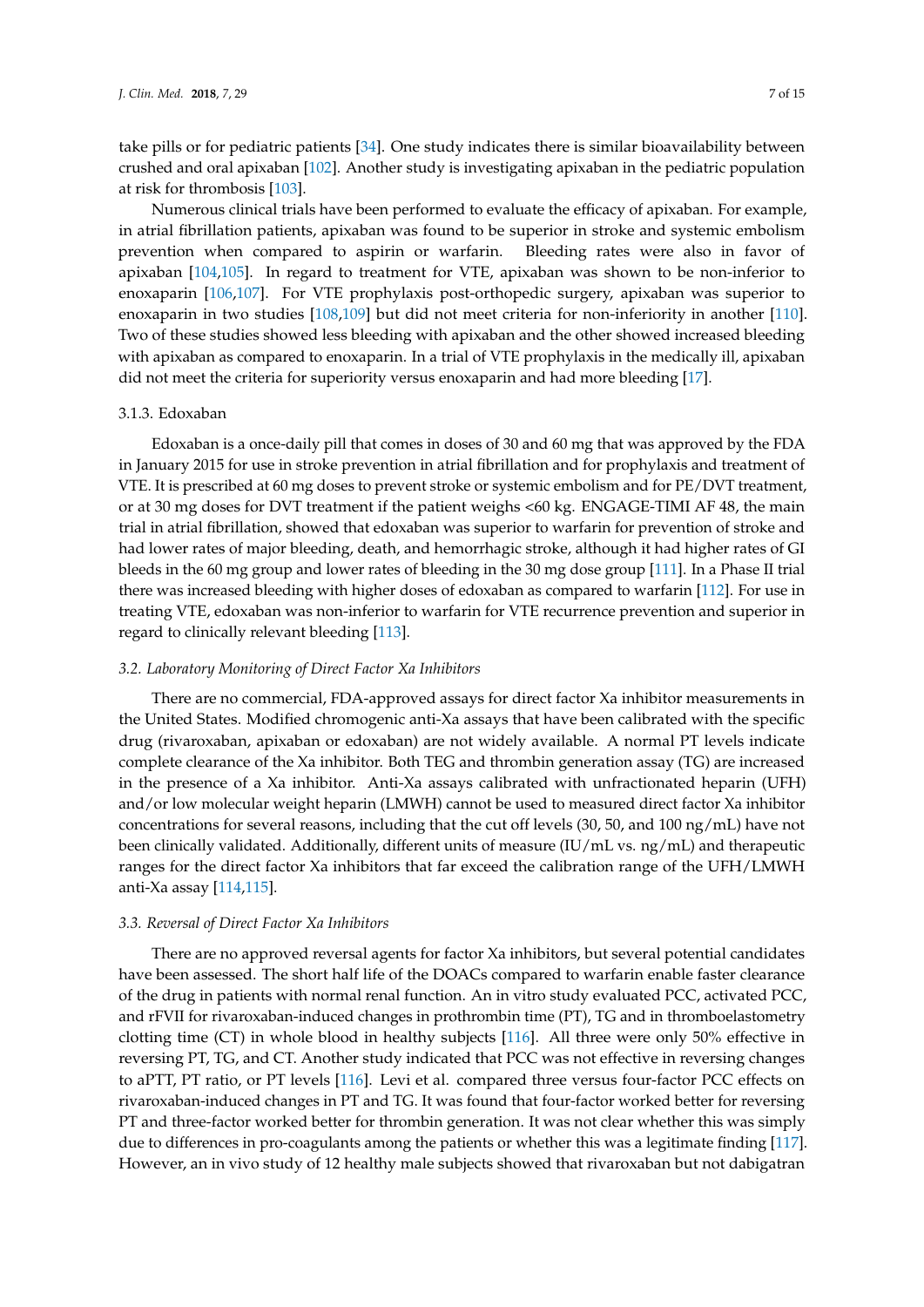take pills or for pediatric patients [\[34\]](#page-9-12). One study indicates there is similar bioavailability between crushed and oral apixaban [\[102\]](#page-13-11). Another study is investigating apixaban in the pediatric population at risk for thrombosis [\[103\]](#page-13-12).

Numerous clinical trials have been performed to evaluate the efficacy of apixaban. For example, in atrial fibrillation patients, apixaban was found to be superior in stroke and systemic embolism prevention when compared to aspirin or warfarin. Bleeding rates were also in favor of apixaban [\[104](#page-13-13)[,105\]](#page-13-14). In regard to treatment for VTE, apixaban was shown to be non-inferior to enoxaparin [\[106](#page-13-15)[,107\]](#page-14-0). For VTE prophylaxis post-orthopedic surgery, apixaban was superior to enoxaparin in two studies [\[108,](#page-14-1)[109\]](#page-14-2) but did not meet criteria for non-inferiority in another [\[110\]](#page-14-3). Two of these studies showed less bleeding with apixaban and the other showed increased bleeding with apixaban as compared to enoxaparin. In a trial of VTE prophylaxis in the medically ill, apixaban did not meet the criteria for superiority versus enoxaparin and had more bleeding [\[17\]](#page-8-13).

## 3.1.3. Edoxaban

Edoxaban is a once-daily pill that comes in doses of 30 and 60 mg that was approved by the FDA in January 2015 for use in stroke prevention in atrial fibrillation and for prophylaxis and treatment of VTE. It is prescribed at 60 mg doses to prevent stroke or systemic embolism and for PE/DVT treatment, or at 30 mg doses for DVT treatment if the patient weighs <60 kg. ENGAGE-TIMI AF 48, the main trial in atrial fibrillation, showed that edoxaban was superior to warfarin for prevention of stroke and had lower rates of major bleeding, death, and hemorrhagic stroke, although it had higher rates of GI bleeds in the 60 mg group and lower rates of bleeding in the 30 mg dose group [\[111\]](#page-14-4). In a Phase II trial there was increased bleeding with higher doses of edoxaban as compared to warfarin [\[112\]](#page-14-5). For use in treating VTE, edoxaban was non-inferior to warfarin for VTE recurrence prevention and superior in regard to clinically relevant bleeding [\[113\]](#page-14-6).

## *3.2. Laboratory Monitoring of Direct Factor Xa Inhibitors*

There are no commercial, FDA-approved assays for direct factor Xa inhibitor measurements in the United States. Modified chromogenic anti-Xa assays that have been calibrated with the specific drug (rivaroxaban, apixaban or edoxaban) are not widely available. A normal PT levels indicate complete clearance of the Xa inhibitor. Both TEG and thrombin generation assay (TG) are increased in the presence of a Xa inhibitor. Anti-Xa assays calibrated with unfractionated heparin (UFH) and/or low molecular weight heparin (LMWH) cannot be used to measured direct factor Xa inhibitor concentrations for several reasons, including that the cut off levels (30, 50, and 100 ng/mL) have not been clinically validated. Additionally, different units of measure (IU/mL vs. ng/mL) and therapeutic ranges for the direct factor Xa inhibitors that far exceed the calibration range of the UFH/LMWH anti-Xa assay [\[114,](#page-14-7)[115\]](#page-14-8).

## *3.3. Reversal of Direct Factor Xa Inhibitors*

There are no approved reversal agents for factor Xa inhibitors, but several potential candidates have been assessed. The short half life of the DOACs compared to warfarin enable faster clearance of the drug in patients with normal renal function. An in vitro study evaluated PCC, activated PCC, and rFVII for rivaroxaban-induced changes in prothrombin time (PT), TG and in thromboelastometry clotting time (CT) in whole blood in healthy subjects [\[116\]](#page-14-9). All three were only 50% effective in reversing PT, TG, and CT. Another study indicated that PCC was not effective in reversing changes to aPTT, PT ratio, or PT levels [\[116\]](#page-14-9). Levi et al. compared three versus four-factor PCC effects on rivaroxaban-induced changes in PT and TG. It was found that four-factor worked better for reversing PT and three-factor worked better for thrombin generation. It was not clear whether this was simply due to differences in pro-coagulants among the patients or whether this was a legitimate finding [\[117\]](#page-14-10). However, an in vivo study of 12 healthy male subjects showed that rivaroxaban but not dabigatran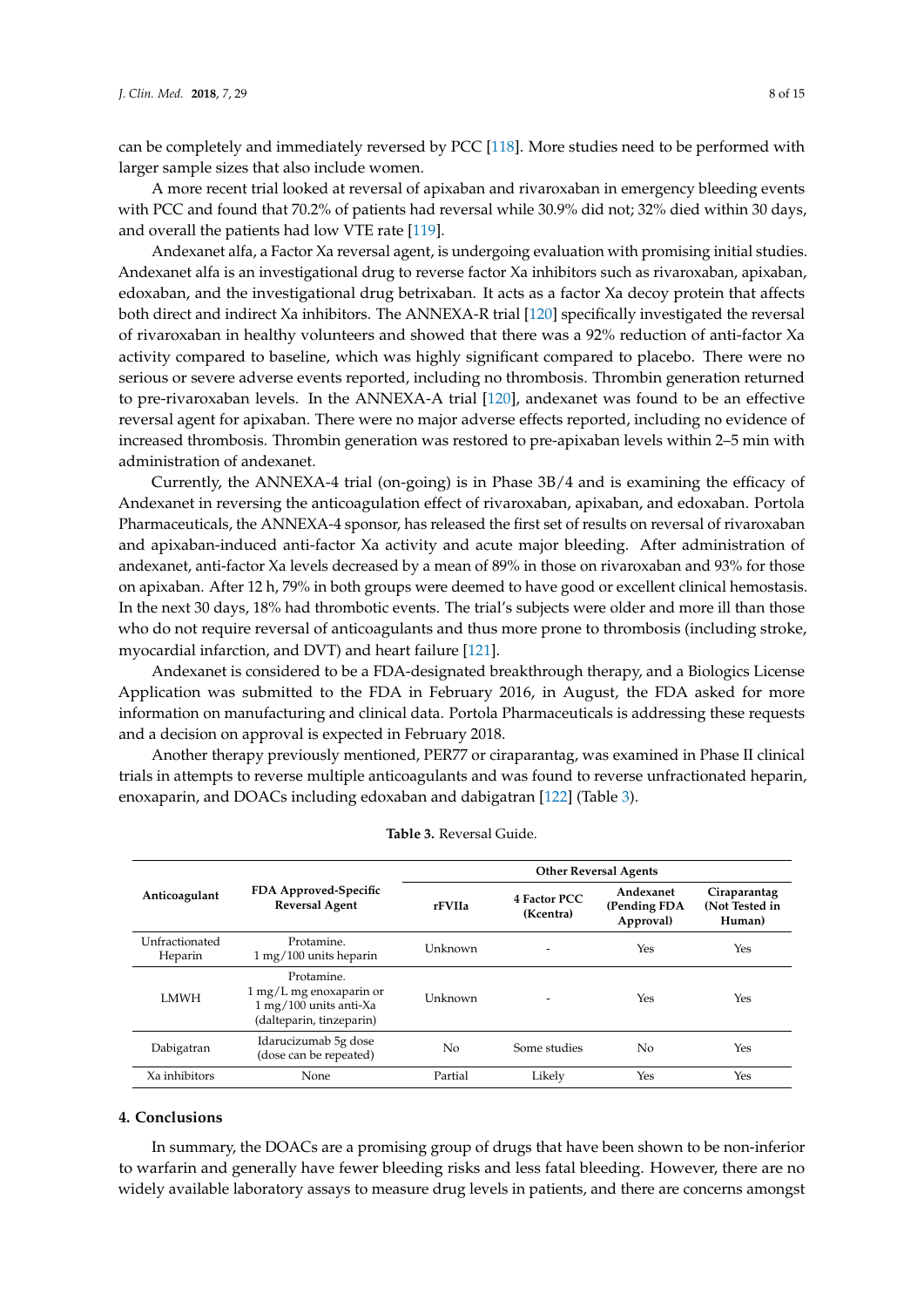can be completely and immediately reversed by PCC [\[118\]](#page-14-11). More studies need to be performed with larger sample sizes that also include women.

A more recent trial looked at reversal of apixaban and rivaroxaban in emergency bleeding events with PCC and found that 70.2% of patients had reversal while 30.9% did not; 32% died within 30 days, and overall the patients had low VTE rate [\[119\]](#page-14-12).

Andexanet alfa, a Factor Xa reversal agent, is undergoing evaluation with promising initial studies. Andexanet alfa is an investigational drug to reverse factor Xa inhibitors such as rivaroxaban, apixaban, edoxaban, and the investigational drug betrixaban. It acts as a factor Xa decoy protein that affects both direct and indirect Xa inhibitors. The ANNEXA-R trial [\[120\]](#page-14-13) specifically investigated the reversal of rivaroxaban in healthy volunteers and showed that there was a 92% reduction of anti-factor Xa activity compared to baseline, which was highly significant compared to placebo. There were no serious or severe adverse events reported, including no thrombosis. Thrombin generation returned to pre-rivaroxaban levels. In the ANNEXA-A trial [\[120\]](#page-14-13), andexanet was found to be an effective reversal agent for apixaban. There were no major adverse effects reported, including no evidence of increased thrombosis. Thrombin generation was restored to pre-apixaban levels within 2–5 min with administration of andexanet.

Currently, the ANNEXA-4 trial (on-going) is in Phase 3B/4 and is examining the efficacy of Andexanet in reversing the anticoagulation effect of rivaroxaban, apixaban, and edoxaban. Portola Pharmaceuticals, the ANNEXA-4 sponsor, has released the first set of results on reversal of rivaroxaban and apixaban-induced anti-factor Xa activity and acute major bleeding. After administration of andexanet, anti-factor Xa levels decreased by a mean of 89% in those on rivaroxaban and 93% for those on apixaban. After 12 h, 79% in both groups were deemed to have good or excellent clinical hemostasis. In the next 30 days, 18% had thrombotic events. The trial's subjects were older and more ill than those who do not require reversal of anticoagulants and thus more prone to thrombosis (including stroke, myocardial infarction, and DVT) and heart failure [\[121\]](#page-14-14).

Andexanet is considered to be a FDA-designated breakthrough therapy, and a Biologics License Application was submitted to the FDA in February 2016, in August, the FDA asked for more information on manufacturing and clinical data. Portola Pharmaceuticals is addressing these requests and a decision on approval is expected in February 2018.

Another therapy previously mentioned, PER77 or ciraparantag, was examined in Phase II clinical trials in attempts to reverse multiple anticoagulants and was found to reverse unfractionated heparin, enoxaparin, and DOACs including edoxaban and dabigatran [\[122\]](#page-14-15) (Table [3\)](#page-7-0).

<span id="page-7-0"></span>

|                           | FDA Approved-Specific<br><b>Reversal Agent</b>                                                                        | <b>Other Reversal Agents</b> |                           |                                        |                                          |
|---------------------------|-----------------------------------------------------------------------------------------------------------------------|------------------------------|---------------------------|----------------------------------------|------------------------------------------|
| Anticoagulant             |                                                                                                                       | rFVIIa                       | 4 Factor PCC<br>(Kcentra) | Andexanet<br>(Pending FDA<br>Approval) | Ciraparantag<br>(Not Tested in<br>Human) |
| Unfractionated<br>Heparin | Protamine.<br>$1 \,\mathrm{mg}/100$ units heparin                                                                     | Unknown                      |                           | Yes                                    | Yes                                      |
| <b>LMWH</b>               | Protamine.<br>$1 \,\mathrm{mg/L}$ mg enoxaparin or<br>$1 \,\mathrm{mg}/100$ units anti-Xa<br>(dalteparin, tinzeparin) | <b>Unknown</b>               |                           | Yes                                    | Yes                                      |
| Dabigatran                | Idarucizumab 5g dose<br>(dose can be repeated)                                                                        | No.                          | Some studies              | No.                                    | Yes                                      |
| Xa inhibitors             | None                                                                                                                  | Partial                      | Likely                    | Yes                                    | Yes                                      |

**Table 3.** Reversal Guide.

# **4. Conclusions**

In summary, the DOACs are a promising group of drugs that have been shown to be non-inferior to warfarin and generally have fewer bleeding risks and less fatal bleeding. However, there are no widely available laboratory assays to measure drug levels in patients, and there are concerns amongst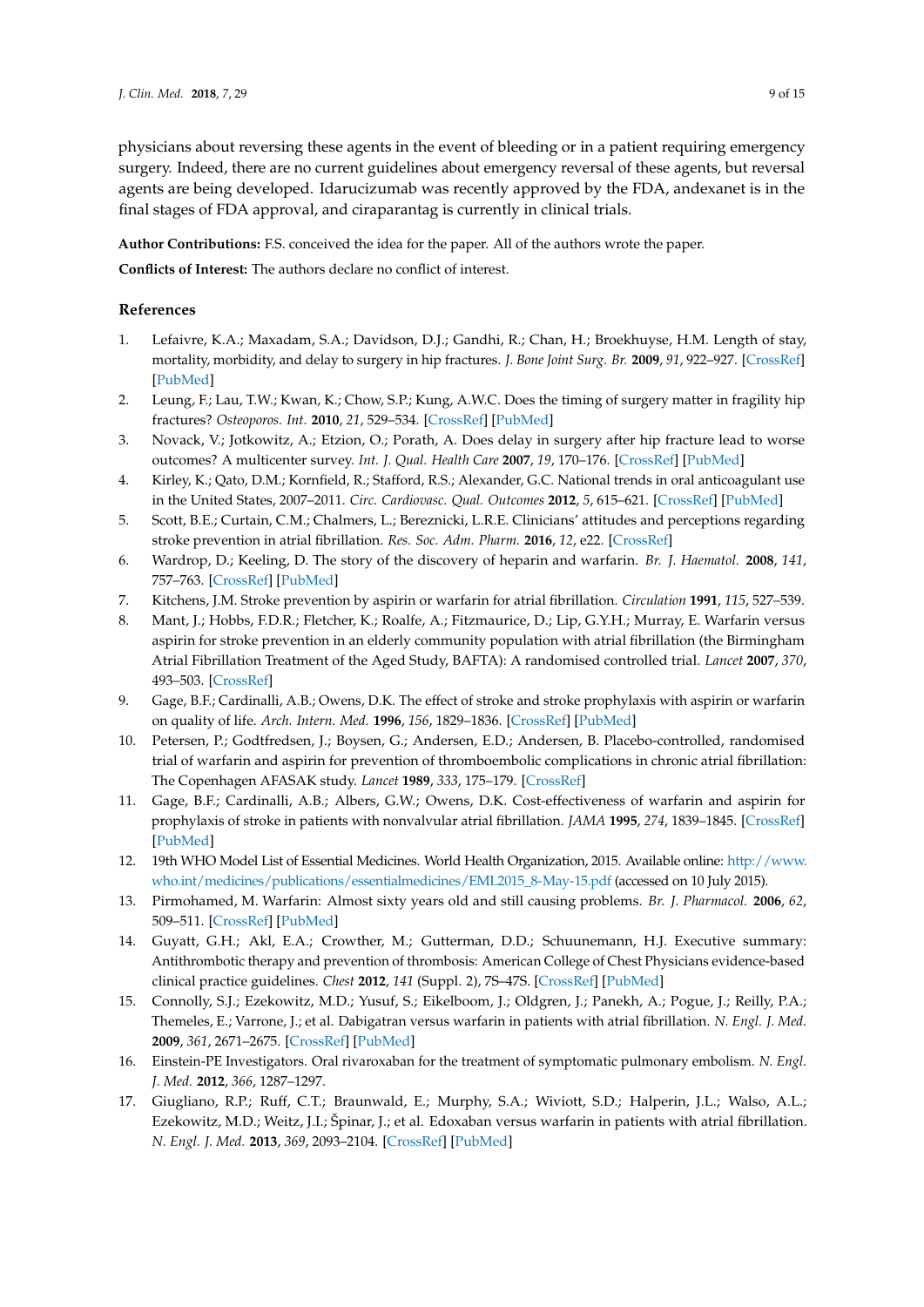physicians about reversing these agents in the event of bleeding or in a patient requiring emergency surgery. Indeed, there are no current guidelines about emergency reversal of these agents, but reversal agents are being developed. Idarucizumab was recently approved by the FDA, andexanet is in the final stages of FDA approval, and ciraparantag is currently in clinical trials.

**Author Contributions:** F.S. conceived the idea for the paper. All of the authors wrote the paper.

**Conflicts of Interest:** The authors declare no conflict of interest.

## **References**

- <span id="page-8-0"></span>1. Lefaivre, K.A.; Maxadam, S.A.; Davidson, D.J.; Gandhi, R.; Chan, H.; Broekhuyse, H.M. Length of stay, mortality, morbidity, and delay to surgery in hip fractures. *J. Bone Joint Surg. Br.* **2009**, *91*, 922–927. [\[CrossRef\]](http://dx.doi.org/10.1302/0301-620X.91B7.22446) [\[PubMed\]](http://www.ncbi.nlm.nih.gov/pubmed/19567858)
- <span id="page-8-11"></span>2. Leung, F.; Lau, T.W.; Kwan, K.; Chow, S.P.; Kung, A.W.C. Does the timing of surgery matter in fragility hip fractures? *Osteoporos. Int.* **2010**, *21*, 529–534. [\[CrossRef\]](http://dx.doi.org/10.1007/s00198-010-1391-2) [\[PubMed\]](http://www.ncbi.nlm.nih.gov/pubmed/21057992)
- <span id="page-8-1"></span>3. Novack, V.; Jotkowitz, A.; Etzion, O.; Porath, A. Does delay in surgery after hip fracture lead to worse outcomes? A multicenter survey. *Int. J. Qual. Health Care* **2007**, *19*, 170–176. [\[CrossRef\]](http://dx.doi.org/10.1093/intqhc/mzm003) [\[PubMed\]](http://www.ncbi.nlm.nih.gov/pubmed/17309897)
- <span id="page-8-2"></span>4. Kirley, K.; Qato, D.M.; Kornfield, R.; Stafford, R.S.; Alexander, G.C. National trends in oral anticoagulant use in the United States, 2007–2011. *Circ. Cardiovasc. Qual. Outcomes* **2012**, *5*, 615–621. [\[CrossRef\]](http://dx.doi.org/10.1161/CIRCOUTCOMES.112.967299) [\[PubMed\]](http://www.ncbi.nlm.nih.gov/pubmed/22949490)
- <span id="page-8-3"></span>5. Scott, B.E.; Curtain, C.M.; Chalmers, L.; Bereznicki, L.R.E. Clinicians' attitudes and perceptions regarding stroke prevention in atrial fibrillation. *Res. Soc. Adm. Pharm.* **2016**, *12*, e22. [\[CrossRef\]](http://dx.doi.org/10.1016/j.sapharm.2016.05.057)
- <span id="page-8-4"></span>6. Wardrop, D.; Keeling, D. The story of the discovery of heparin and warfarin. *Br. J. Haematol.* **2008**, *141*, 757–763. [\[CrossRef\]](http://dx.doi.org/10.1111/j.1365-2141.2008.07119.x) [\[PubMed\]](http://www.ncbi.nlm.nih.gov/pubmed/18355382)
- <span id="page-8-5"></span>7. Kitchens, J.M. Stroke prevention by aspirin or warfarin for atrial fibrillation. *Circulation* **1991**, *115*, 527–539.
- 8. Mant, J.; Hobbs, F.D.R.; Fletcher, K.; Roalfe, A.; Fitzmaurice, D.; Lip, G.Y.H.; Murray, E. Warfarin versus aspirin for stroke prevention in an elderly community population with atrial fibrillation (the Birmingham Atrial Fibrillation Treatment of the Aged Study, BAFTA): A randomised controlled trial. *Lancet* **2007**, *370*, 493–503. [\[CrossRef\]](http://dx.doi.org/10.1016/S0140-6736(07)61233-1)
- 9. Gage, B.F.; Cardinalli, A.B.; Owens, D.K. The effect of stroke and stroke prophylaxis with aspirin or warfarin on quality of life. *Arch. Intern. Med.* **1996**, *156*, 1829–1836. [\[CrossRef\]](http://dx.doi.org/10.1001/archinte.1996.00440150083009) [\[PubMed\]](http://www.ncbi.nlm.nih.gov/pubmed/8790077)
- 10. Petersen, P.; Godtfredsen, J.; Boysen, G.; Andersen, E.D.; Andersen, B. Placebo-controlled, randomised trial of warfarin and aspirin for prevention of thromboembolic complications in chronic atrial fibrillation: The Copenhagen AFASAK study. *Lancet* **1989**, *333*, 175–179. [\[CrossRef\]](http://dx.doi.org/10.1016/S0140-6736(89)91200-2)
- <span id="page-8-6"></span>11. Gage, B.F.; Cardinalli, A.B.; Albers, G.W.; Owens, D.K. Cost-effectiveness of warfarin and aspirin for prophylaxis of stroke in patients with nonvalvular atrial fibrillation. *JAMA* **1995**, *274*, 1839–1845. [\[CrossRef\]](http://dx.doi.org/10.1001/jama.1995.03530230025025) [\[PubMed\]](http://www.ncbi.nlm.nih.gov/pubmed/7500532)
- <span id="page-8-7"></span>12. 19th WHO Model List of Essential Medicines. World Health Organization, 2015. Available online: [http://www.](http://www.who.int/medicines/publications/essentialmedicines/EML2015_8-May-15.pdf) [who.int/medicines/publications/essentialmedicines/EML2015\\_8-May-15.pdf](http://www.who.int/medicines/publications/essentialmedicines/EML2015_8-May-15.pdf) (accessed on 10 July 2015).
- <span id="page-8-8"></span>13. Pirmohamed, M. Warfarin: Almost sixty years old and still causing problems. *Br. J. Pharmacol.* **2006**, *62*, 509–511. [\[CrossRef\]](http://dx.doi.org/10.1111/j.1365-2125.2006.02806.x) [\[PubMed\]](http://www.ncbi.nlm.nih.gov/pubmed/17061959)
- <span id="page-8-9"></span>14. Guyatt, G.H.; Akl, E.A.; Crowther, M.; Gutterman, D.D.; Schuunemann, H.J. Executive summary: Antithrombotic therapy and prevention of thrombosis: American College of Chest Physicians evidence-based clinical practice guidelines. *Chest* **2012**, *141* (Suppl. 2), 7S–47S. [\[CrossRef\]](http://dx.doi.org/10.1378/chest.1412S3) [\[PubMed\]](http://www.ncbi.nlm.nih.gov/pubmed/22315257)
- <span id="page-8-10"></span>15. Connolly, S.J.; Ezekowitz, M.D.; Yusuf, S.; Eikelboom, J.; Oldgren, J.; Panekh, A.; Pogue, J.; Reilly, P.A.; Themeles, E.; Varrone, J.; et al. Dabigatran versus warfarin in patients with atrial fibrillation. *N. Engl. J. Med.* **2009**, *361*, 2671–2675. [\[CrossRef\]](http://dx.doi.org/10.1056/NEJMoa0905561) [\[PubMed\]](http://www.ncbi.nlm.nih.gov/pubmed/19717844)
- <span id="page-8-12"></span>16. Einstein-PE Investigators. Oral rivaroxaban for the treatment of symptomatic pulmonary embolism. *N. Engl. J. Med.* **2012**, *366*, 1287–1297.
- <span id="page-8-13"></span>17. Giugliano, R.P.; Ruff, C.T.; Braunwald, E.; Murphy, S.A.; Wiviott, S.D.; Halperin, J.L.; Walso, A.L.; Ezekowitz, M.D.; Weitz, J.I.; Špinar, J.; et al. Edoxaban versus warfarin in patients with atrial fibrillation. *N. Engl. J. Med.* **2013**, *369*, 2093–2104. [\[CrossRef\]](http://dx.doi.org/10.1056/NEJMoa1310907) [\[PubMed\]](http://www.ncbi.nlm.nih.gov/pubmed/24251359)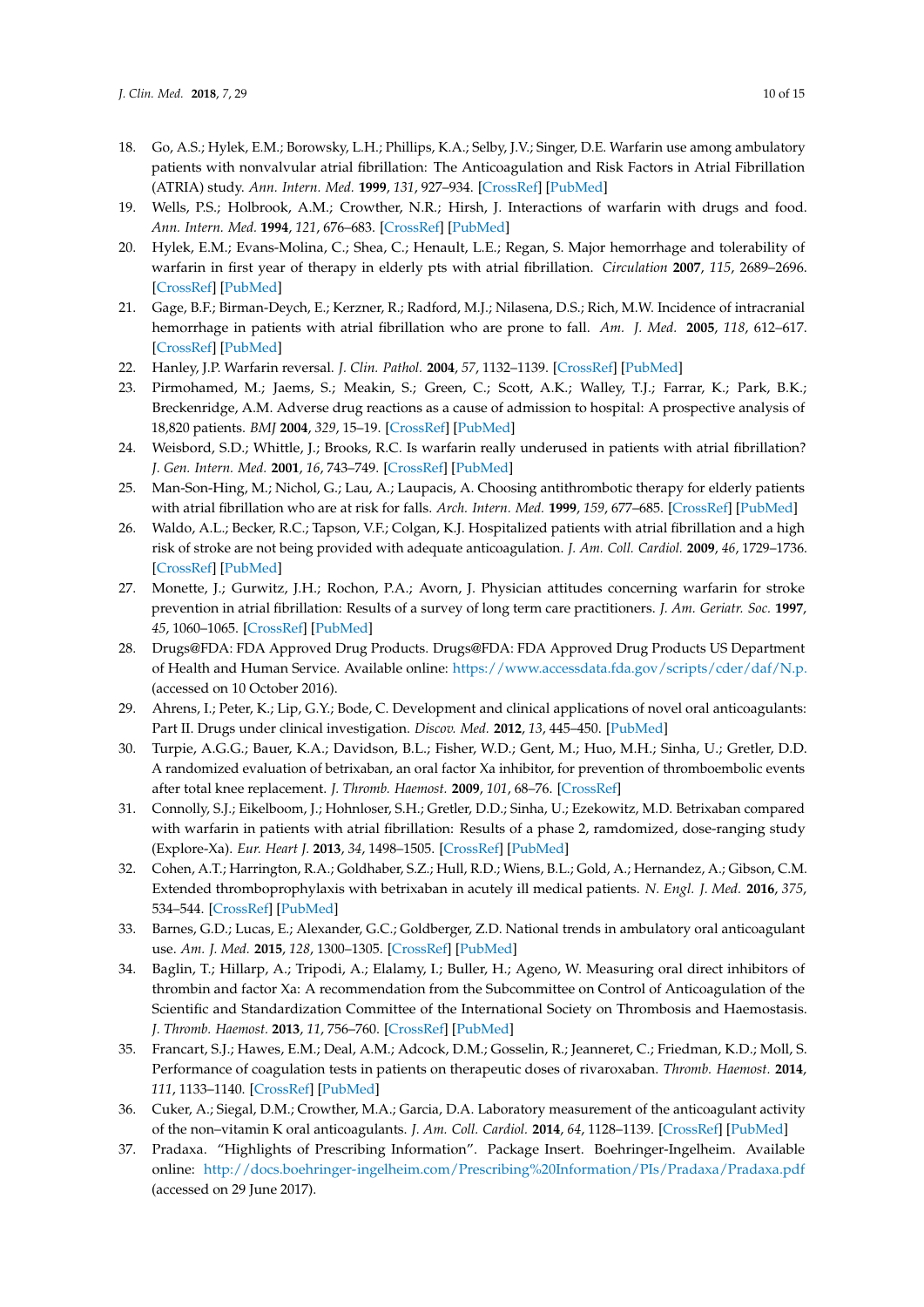- <span id="page-9-0"></span>18. Go, A.S.; Hylek, E.M.; Borowsky, L.H.; Phillips, K.A.; Selby, J.V.; Singer, D.E. Warfarin use among ambulatory patients with nonvalvular atrial fibrillation: The Anticoagulation and Risk Factors in Atrial Fibrillation (ATRIA) study. *Ann. Intern. Med.* **1999**, *131*, 927–934. [\[CrossRef\]](http://dx.doi.org/10.7326/0003-4819-131-12-199912210-00004) [\[PubMed\]](http://www.ncbi.nlm.nih.gov/pubmed/10610643)
- <span id="page-9-1"></span>19. Wells, P.S.; Holbrook, A.M.; Crowther, N.R.; Hirsh, J. Interactions of warfarin with drugs and food. *Ann. Intern. Med.* **1994**, *121*, 676–683. [\[CrossRef\]](http://dx.doi.org/10.7326/0003-4819-121-9-199411010-00009) [\[PubMed\]](http://www.ncbi.nlm.nih.gov/pubmed/7944078)
- <span id="page-9-2"></span>20. Hylek, E.M.; Evans-Molina, C.; Shea, C.; Henault, L.E.; Regan, S. Major hemorrhage and tolerability of warfarin in first year of therapy in elderly pts with atrial fibrillation. *Circulation* **2007**, *115*, 2689–2696. [\[CrossRef\]](http://dx.doi.org/10.1161/CIRCULATIONAHA.106.653048) [\[PubMed\]](http://www.ncbi.nlm.nih.gov/pubmed/17515465)
- 21. Gage, B.F.; Birman-Deych, E.; Kerzner, R.; Radford, M.J.; Nilasena, D.S.; Rich, M.W. Incidence of intracranial hemorrhage in patients with atrial fibrillation who are prone to fall. *Am. J. Med.* **2005**, *118*, 612–617. [\[CrossRef\]](http://dx.doi.org/10.1016/j.amjmed.2005.02.022) [\[PubMed\]](http://www.ncbi.nlm.nih.gov/pubmed/15922692)
- <span id="page-9-3"></span>22. Hanley, J.P. Warfarin reversal. *J. Clin. Pathol.* **2004**, *57*, 1132–1139. [\[CrossRef\]](http://dx.doi.org/10.1136/jcp.2003.008904) [\[PubMed\]](http://www.ncbi.nlm.nih.gov/pubmed/15509671)
- <span id="page-9-4"></span>23. Pirmohamed, M.; Jaems, S.; Meakin, S.; Green, C.; Scott, A.K.; Walley, T.J.; Farrar, K.; Park, B.K.; Breckenridge, A.M. Adverse drug reactions as a cause of admission to hospital: A prospective analysis of 18,820 patients. *BMJ* **2004**, *329*, 15–19. [\[CrossRef\]](http://dx.doi.org/10.1136/bmj.329.7456.15) [\[PubMed\]](http://www.ncbi.nlm.nih.gov/pubmed/15231615)
- 24. Weisbord, S.D.; Whittle, J.; Brooks, R.C. Is warfarin really underused in patients with atrial fibrillation? *J. Gen. Intern. Med.* **2001**, *16*, 743–749. [\[CrossRef\]](http://dx.doi.org/10.1111/j.1525-1497.2001.10432.x) [\[PubMed\]](http://www.ncbi.nlm.nih.gov/pubmed/11722687)
- 25. Man-Son-Hing, M.; Nichol, G.; Lau, A.; Laupacis, A. Choosing antithrombotic therapy for elderly patients with atrial fibrillation who are at risk for falls. *Arch. Intern. Med.* **1999**, *159*, 677–685. [\[CrossRef\]](http://dx.doi.org/10.1001/archinte.159.7.677) [\[PubMed\]](http://www.ncbi.nlm.nih.gov/pubmed/10218746)
- 26. Waldo, A.L.; Becker, R.C.; Tapson, V.F.; Colgan, K.J. Hospitalized patients with atrial fibrillation and a high risk of stroke are not being provided with adequate anticoagulation. *J. Am. Coll. Cardiol.* **2009**, *46*, 1729–1736. [\[CrossRef\]](http://dx.doi.org/10.1016/j.jacc.2005.06.077) [\[PubMed\]](http://www.ncbi.nlm.nih.gov/pubmed/16256877)
- <span id="page-9-5"></span>27. Monette, J.; Gurwitz, J.H.; Rochon, P.A.; Avorn, J. Physician attitudes concerning warfarin for stroke prevention in atrial fibrillation: Results of a survey of long term care practitioners. *J. Am. Geriatr. Soc.* **1997**, *45*, 1060–1065. [\[CrossRef\]](http://dx.doi.org/10.1111/j.1532-5415.1997.tb05967.x) [\[PubMed\]](http://www.ncbi.nlm.nih.gov/pubmed/9288012)
- <span id="page-9-6"></span>28. Drugs@FDA: FDA Approved Drug Products. Drugs@FDA: FDA Approved Drug Products US Department of Health and Human Service. Available online: <https://www.accessdata.fda.gov/scripts/cder/daf/N.p.> (accessed on 10 October 2016).
- <span id="page-9-7"></span>29. Ahrens, I.; Peter, K.; Lip, G.Y.; Bode, C. Development and clinical applications of novel oral anticoagulants: Part II. Drugs under clinical investigation. *Discov. Med.* **2012**, *13*, 445–450. [\[PubMed\]](http://www.ncbi.nlm.nih.gov/pubmed/22742650)
- <span id="page-9-8"></span>30. Turpie, A.G.G.; Bauer, K.A.; Davidson, B.L.; Fisher, W.D.; Gent, M.; Huo, M.H.; Sinha, U.; Gretler, D.D. A randomized evaluation of betrixaban, an oral factor Xa inhibitor, for prevention of thromboembolic events after total knee replacement. *J. Thromb. Haemost.* **2009**, *101*, 68–76. [\[CrossRef\]](http://dx.doi.org/10.1160/TH08-07-0460)
- <span id="page-9-9"></span>31. Connolly, S.J.; Eikelboom, J.; Hohnloser, S.H.; Gretler, D.D.; Sinha, U.; Ezekowitz, M.D. Betrixaban compared with warfarin in patients with atrial fibrillation: Results of a phase 2, ramdomized, dose-ranging study (Explore-Xa). *Eur. Heart J.* **2013**, *34*, 1498–1505. [\[CrossRef\]](http://dx.doi.org/10.1093/eurheartj/eht039) [\[PubMed\]](http://www.ncbi.nlm.nih.gov/pubmed/23487517)
- <span id="page-9-10"></span>32. Cohen, A.T.; Harrington, R.A.; Goldhaber, S.Z.; Hull, R.D.; Wiens, B.L.; Gold, A.; Hernandez, A.; Gibson, C.M. Extended thromboprophylaxis with betrixaban in acutely ill medical patients. *N. Engl. J. Med.* **2016**, *375*, 534–544. [\[CrossRef\]](http://dx.doi.org/10.1056/NEJMoa1601747) [\[PubMed\]](http://www.ncbi.nlm.nih.gov/pubmed/27232649)
- <span id="page-9-11"></span>33. Barnes, G.D.; Lucas, E.; Alexander, G.C.; Goldberger, Z.D. National trends in ambulatory oral anticoagulant use. *Am. J. Med.* **2015**, *128*, 1300–1305. [\[CrossRef\]](http://dx.doi.org/10.1016/j.amjmed.2015.05.044) [\[PubMed\]](http://www.ncbi.nlm.nih.gov/pubmed/26144101)
- <span id="page-9-12"></span>34. Baglin, T.; Hillarp, A.; Tripodi, A.; Elalamy, I.; Buller, H.; Ageno, W. Measuring oral direct inhibitors of thrombin and factor Xa: A recommendation from the Subcommittee on Control of Anticoagulation of the Scientific and Standardization Committee of the International Society on Thrombosis and Haemostasis. *J. Thromb. Haemost.* **2013**, *11*, 756–760. [\[CrossRef\]](http://dx.doi.org/10.1111/jth.12149) [\[PubMed\]](http://www.ncbi.nlm.nih.gov/pubmed/23347120)
- 35. Francart, S.J.; Hawes, E.M.; Deal, A.M.; Adcock, D.M.; Gosselin, R.; Jeanneret, C.; Friedman, K.D.; Moll, S. Performance of coagulation tests in patients on therapeutic doses of rivaroxaban. *Thromb. Haemost.* **2014**, *111*, 1133–1140. [\[CrossRef\]](http://dx.doi.org/10.1160/TH13-10-0871) [\[PubMed\]](http://www.ncbi.nlm.nih.gov/pubmed/24401946)
- <span id="page-9-13"></span>36. Cuker, A.; Siegal, D.M.; Crowther, M.A.; Garcia, D.A. Laboratory measurement of the anticoagulant activity of the non–vitamin K oral anticoagulants. *J. Am. Coll. Cardiol.* **2014**, *64*, 1128–1139. [\[CrossRef\]](http://dx.doi.org/10.1016/j.jacc.2014.05.065) [\[PubMed\]](http://www.ncbi.nlm.nih.gov/pubmed/25212648)
- <span id="page-9-14"></span>37. Pradaxa. "Highlights of Prescribing Information". Package Insert. Boehringer-Ingelheim. Available online: <http://docs.boehringer-ingelheim.com/Prescribing%20Information/PIs/Pradaxa/Pradaxa.pdf> (accessed on 29 June 2017).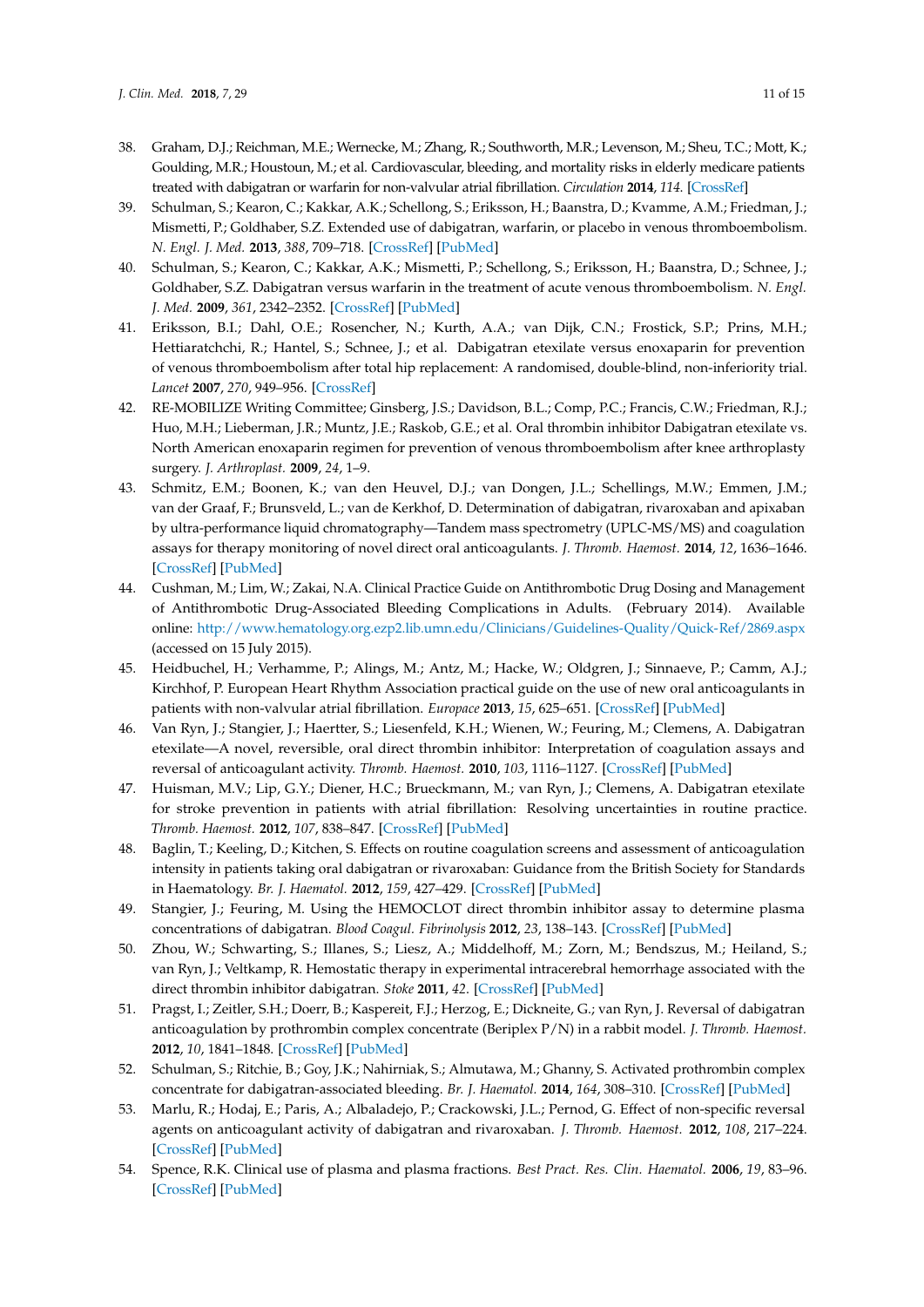- <span id="page-10-0"></span>38. Graham, D.J.; Reichman, M.E.; Wernecke, M.; Zhang, R.; Southworth, M.R.; Levenson, M.; Sheu, T.C.; Mott, K.; Goulding, M.R.; Houstoun, M.; et al. Cardiovascular, bleeding, and mortality risks in elderly medicare patients treated with dabigatran or warfarin for non-valvular atrial fibrillation. *Circulation* **2014**, *114*. [\[CrossRef\]](http://dx.doi.org/10.1161/CIRCULATIONAHA.114.012061)
- <span id="page-10-1"></span>39. Schulman, S.; Kearon, C.; Kakkar, A.K.; Schellong, S.; Eriksson, H.; Baanstra, D.; Kvamme, A.M.; Friedman, J.; Mismetti, P.; Goldhaber, S.Z. Extended use of dabigatran, warfarin, or placebo in venous thromboembolism. *N. Engl. J. Med.* **2013**, *388*, 709–718. [\[CrossRef\]](http://dx.doi.org/10.1056/NEJMoa1113697) [\[PubMed\]](http://www.ncbi.nlm.nih.gov/pubmed/23425163)
- <span id="page-10-2"></span>40. Schulman, S.; Kearon, C.; Kakkar, A.K.; Mismetti, P.; Schellong, S.; Eriksson, H.; Baanstra, D.; Schnee, J.; Goldhaber, S.Z. Dabigatran versus warfarin in the treatment of acute venous thromboembolism. *N. Engl. J. Med.* **2009**, *361*, 2342–2352. [\[CrossRef\]](http://dx.doi.org/10.1056/NEJMoa0906598) [\[PubMed\]](http://www.ncbi.nlm.nih.gov/pubmed/19966341)
- <span id="page-10-3"></span>41. Eriksson, B.I.; Dahl, O.E.; Rosencher, N.; Kurth, A.A.; van Dijk, C.N.; Frostick, S.P.; Prins, M.H.; Hettiaratchchi, R.; Hantel, S.; Schnee, J.; et al. Dabigatran etexilate versus enoxaparin for prevention of venous thromboembolism after total hip replacement: A randomised, double-blind, non-inferiority trial. *Lancet* **2007**, *270*, 949–956. [\[CrossRef\]](http://dx.doi.org/10.1016/S0140-6736(07)61445-7)
- <span id="page-10-4"></span>42. RE-MOBILIZE Writing Committee; Ginsberg, J.S.; Davidson, B.L.; Comp, P.C.; Francis, C.W.; Friedman, R.J.; Huo, M.H.; Lieberman, J.R.; Muntz, J.E.; Raskob, G.E.; et al. Oral thrombin inhibitor Dabigatran etexilate vs. North American enoxaparin regimen for prevention of venous thromboembolism after knee arthroplasty surgery. *J. Arthroplast.* **2009**, *24*, 1–9.
- <span id="page-10-5"></span>43. Schmitz, E.M.; Boonen, K.; van den Heuvel, D.J.; van Dongen, J.L.; Schellings, M.W.; Emmen, J.M.; van der Graaf, F.; Brunsveld, L.; van de Kerkhof, D. Determination of dabigatran, rivaroxaban and apixaban by ultra-performance liquid chromatography—Tandem mass spectrometry (UPLC-MS/MS) and coagulation assays for therapy monitoring of novel direct oral anticoagulants. *J. Thromb. Haemost.* **2014**, *12*, 1636–1646. [\[CrossRef\]](http://dx.doi.org/10.1111/jth.12702) [\[PubMed\]](http://www.ncbi.nlm.nih.gov/pubmed/25142183)
- <span id="page-10-6"></span>44. Cushman, M.; Lim, W.; Zakai, N.A. Clinical Practice Guide on Antithrombotic Drug Dosing and Management of Antithrombotic Drug-Associated Bleeding Complications in Adults. (February 2014). Available online: <http://www.hematology.org.ezp2.lib.umn.edu/Clinicians/Guidelines-Quality/Quick-Ref/2869.aspx> (accessed on 15 July 2015).
- 45. Heidbuchel, H.; Verhamme, P.; Alings, M.; Antz, M.; Hacke, W.; Oldgren, J.; Sinnaeve, P.; Camm, A.J.; Kirchhof, P. European Heart Rhythm Association practical guide on the use of new oral anticoagulants in patients with non-valvular atrial fibrillation. *Europace* **2013**, *15*, 625–651. [\[CrossRef\]](http://dx.doi.org/10.1093/europace/eut083) [\[PubMed\]](http://www.ncbi.nlm.nih.gov/pubmed/23625942)
- <span id="page-10-10"></span>46. Van Ryn, J.; Stangier, J.; Haertter, S.; Liesenfeld, K.H.; Wienen, W.; Feuring, M.; Clemens, A. Dabigatran etexilate—A novel, reversible, oral direct thrombin inhibitor: Interpretation of coagulation assays and reversal of anticoagulant activity. *Thromb. Haemost.* **2010**, *103*, 1116–1127. [\[CrossRef\]](http://dx.doi.org/10.1160/TH09-11-0758) [\[PubMed\]](http://www.ncbi.nlm.nih.gov/pubmed/20352166)
- <span id="page-10-8"></span>47. Huisman, M.V.; Lip, G.Y.; Diener, H.C.; Brueckmann, M.; van Ryn, J.; Clemens, A. Dabigatran etexilate for stroke prevention in patients with atrial fibrillation: Resolving uncertainties in routine practice. *Thromb. Haemost.* **2012**, *107*, 838–847. [\[CrossRef\]](http://dx.doi.org/10.1160/TH11-10-0718) [\[PubMed\]](http://www.ncbi.nlm.nih.gov/pubmed/22318514)
- <span id="page-10-7"></span>48. Baglin, T.; Keeling, D.; Kitchen, S. Effects on routine coagulation screens and assessment of anticoagulation intensity in patients taking oral dabigatran or rivaroxaban: Guidance from the British Society for Standards in Haematology. *Br. J. Haematol.* **2012**, *159*, 427–429. [\[CrossRef\]](http://dx.doi.org/10.1111/bjh.12052) [\[PubMed\]](http://www.ncbi.nlm.nih.gov/pubmed/22970737)
- <span id="page-10-9"></span>49. Stangier, J.; Feuring, M. Using the HEMOCLOT direct thrombin inhibitor assay to determine plasma concentrations of dabigatran. *Blood Coagul. Fibrinolysis* **2012**, *23*, 138–143. [\[CrossRef\]](http://dx.doi.org/10.1097/MBC.0b013e32834f1b0c) [\[PubMed\]](http://www.ncbi.nlm.nih.gov/pubmed/22227958)
- <span id="page-10-11"></span>50. Zhou, W.; Schwarting, S.; Illanes, S.; Liesz, A.; Middelhoff, M.; Zorn, M.; Bendszus, M.; Heiland, S.; van Ryn, J.; Veltkamp, R. Hemostatic therapy in experimental intracerebral hemorrhage associated with the direct thrombin inhibitor dabigatran. *Stoke* **2011**, *42*. [\[CrossRef\]](http://dx.doi.org/10.1161/STROKEAHA.111.624650) [\[PubMed\]](http://www.ncbi.nlm.nih.gov/pubmed/21998060)
- <span id="page-10-14"></span>51. Pragst, I.; Zeitler, S.H.; Doerr, B.; Kaspereit, F.J.; Herzog, E.; Dickneite, G.; van Ryn, J. Reversal of dabigatran anticoagulation by prothrombin complex concentrate (Beriplex P/N) in a rabbit model. *J. Thromb. Haemost.* **2012**, *10*, 1841–1848. [\[CrossRef\]](http://dx.doi.org/10.1111/j.1538-7836.2012.04859.x) [\[PubMed\]](http://www.ncbi.nlm.nih.gov/pubmed/22812619)
- 52. Schulman, S.; Ritchie, B.; Goy, J.K.; Nahirniak, S.; Almutawa, M.; Ghanny, S. Activated prothrombin complex concentrate for dabigatran-associated bleeding. *Br. J. Haematol.* **2014**, *164*, 308–310. [\[CrossRef\]](http://dx.doi.org/10.1111/bjh.12620) [\[PubMed\]](http://www.ncbi.nlm.nih.gov/pubmed/24383848)
- <span id="page-10-12"></span>53. Marlu, R.; Hodaj, E.; Paris, A.; Albaladejo, P.; Crackowski, J.L.; Pernod, G. Effect of non-specific reversal agents on anticoagulant activity of dabigatran and rivaroxaban. *J. Thromb. Haemost.* **2012**, *108*, 217–224. [\[CrossRef\]](http://dx.doi.org/10.1160/TH12-03-0179) [\[PubMed\]](http://www.ncbi.nlm.nih.gov/pubmed/22627883)
- <span id="page-10-13"></span>54. Spence, R.K. Clinical use of plasma and plasma fractions. *Best Pract. Res. Clin. Haematol.* **2006**, *19*, 83–96. [\[CrossRef\]](http://dx.doi.org/10.1016/j.beha.2005.01.035) [\[PubMed\]](http://www.ncbi.nlm.nih.gov/pubmed/16377543)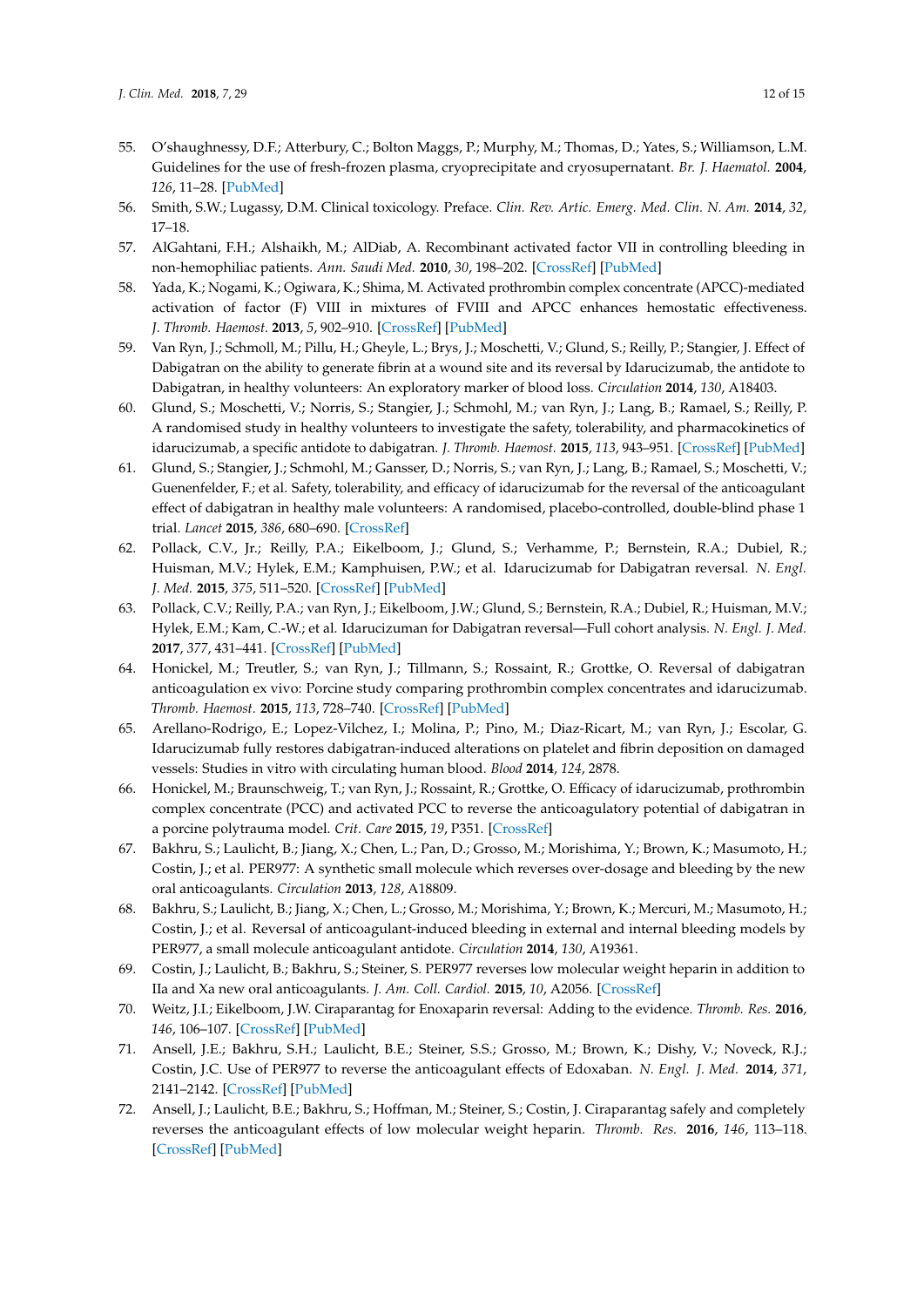- <span id="page-11-0"></span>55. O'shaughnessy, D.F.; Atterbury, C.; Bolton Maggs, P.; Murphy, M.; Thomas, D.; Yates, S.; Williamson, L.M. Guidelines for the use of fresh-frozen plasma, cryoprecipitate and cryosupernatant. *Br. J. Haematol.* **2004**, *126*, 11–28. [\[PubMed\]](http://www.ncbi.nlm.nih.gov/pubmed/15198728)
- <span id="page-11-1"></span>56. Smith, S.W.; Lugassy, D.M. Clinical toxicology. Preface. *Clin. Rev. Artic. Emerg. Med. Clin. N. Am.* **2014**, *32*, 17–18.
- <span id="page-11-2"></span>57. AlGahtani, F.H.; Alshaikh, M.; AlDiab, A. Recombinant activated factor VII in controlling bleeding in non-hemophiliac patients. *Ann. Saudi Med.* **2010**, *30*, 198–202. [\[CrossRef\]](http://dx.doi.org/10.4103/0256-4947.62830) [\[PubMed\]](http://www.ncbi.nlm.nih.gov/pubmed/20427935)
- <span id="page-11-3"></span>58. Yada, K.; Nogami, K.; Ogiwara, K.; Shima, M. Activated prothrombin complex concentrate (APCC)-mediated activation of factor (F) VIII in mixtures of FVIII and APCC enhances hemostatic effectiveness. *J. Thromb. Haemost.* **2013**, *5*, 902–910. [\[CrossRef\]](http://dx.doi.org/10.1111/jth.12197) [\[PubMed\]](http://www.ncbi.nlm.nih.gov/pubmed/23517528)
- <span id="page-11-4"></span>59. Van Ryn, J.; Schmoll, M.; Pillu, H.; Gheyle, L.; Brys, J.; Moschetti, V.; Glund, S.; Reilly, P.; Stangier, J. Effect of Dabigatran on the ability to generate fibrin at a wound site and its reversal by Idarucizumab, the antidote to Dabigatran, in healthy volunteers: An exploratory marker of blood loss. *Circulation* **2014**, *130*, A18403.
- 60. Glund, S.; Moschetti, V.; Norris, S.; Stangier, J.; Schmohl, M.; van Ryn, J.; Lang, B.; Ramael, S.; Reilly, P. A randomised study in healthy volunteers to investigate the safety, tolerability, and pharmacokinetics of idarucizumab, a specific antidote to dabigatran. *J. Thromb. Haemost.* **2015**, *113*, 943–951. [\[CrossRef\]](http://dx.doi.org/10.1160/TH14-12-1080) [\[PubMed\]](http://www.ncbi.nlm.nih.gov/pubmed/25789661)
- 61. Glund, S.; Stangier, J.; Schmohl, M.; Gansser, D.; Norris, S.; van Ryn, J.; Lang, B.; Ramael, S.; Moschetti, V.; Guenenfelder, F.; et al. Safety, tolerability, and efficacy of idarucizumab for the reversal of the anticoagulant effect of dabigatran in healthy male volunteers: A randomised, placebo-controlled, double-blind phase 1 trial. *Lancet* **2015**, *386*, 680–690. [\[CrossRef\]](http://dx.doi.org/10.1016/S0140-6736(15)60732-2)
- <span id="page-11-6"></span>62. Pollack, C.V., Jr.; Reilly, P.A.; Eikelboom, J.; Glund, S.; Verhamme, P.; Bernstein, R.A.; Dubiel, R.; Huisman, M.V.; Hylek, E.M.; Kamphuisen, P.W.; et al. Idarucizumab for Dabigatran reversal. *N. Engl. J. Med.* **2015**, *375*, 511–520. [\[CrossRef\]](http://dx.doi.org/10.1056/NEJMoa1502000) [\[PubMed\]](http://www.ncbi.nlm.nih.gov/pubmed/26095746)
- <span id="page-11-5"></span>63. Pollack, C.V.; Reilly, P.A.; van Ryn, J.; Eikelboom, J.W.; Glund, S.; Bernstein, R.A.; Dubiel, R.; Huisman, M.V.; Hylek, E.M.; Kam, C.-W.; et al. Idarucizuman for Dabigatran reversal—Full cohort analysis. *N. Engl. J. Med.* **2017**, *377*, 431–441. [\[CrossRef\]](http://dx.doi.org/10.1056/NEJMoa1707278) [\[PubMed\]](http://www.ncbi.nlm.nih.gov/pubmed/28693366)
- <span id="page-11-7"></span>64. Honickel, M.; Treutler, S.; van Ryn, J.; Tillmann, S.; Rossaint, R.; Grottke, O. Reversal of dabigatran anticoagulation ex vivo: Porcine study comparing prothrombin complex concentrates and idarucizumab. *Thromb. Haemost.* **2015**, *113*, 728–740. [\[CrossRef\]](http://dx.doi.org/10.1160/TH14-08-0712) [\[PubMed\]](http://www.ncbi.nlm.nih.gov/pubmed/25567155)
- 65. Arellano-Rodrigo, E.; Lopez-Vilchez, I.; Molina, P.; Pino, M.; Diaz-Ricart, M.; van Ryn, J.; Escolar, G. Idarucizumab fully restores dabigatran-induced alterations on platelet and fibrin deposition on damaged vessels: Studies in vitro with circulating human blood. *Blood* **2014**, *124*, 2878.
- <span id="page-11-8"></span>66. Honickel, M.; Braunschweig, T.; van Ryn, J.; Rossaint, R.; Grottke, O. Efficacy of idarucizumab, prothrombin complex concentrate (PCC) and activated PCC to reverse the anticoagulatory potential of dabigatran in a porcine polytrauma model. *Crit. Care* **2015**, *19*, P351. [\[CrossRef\]](http://dx.doi.org/10.1186/cc14431)
- <span id="page-11-9"></span>67. Bakhru, S.; Laulicht, B.; Jiang, X.; Chen, L.; Pan, D.; Grosso, M.; Morishima, Y.; Brown, K.; Masumoto, H.; Costin, J.; et al. PER977: A synthetic small molecule which reverses over-dosage and bleeding by the new oral anticoagulants. *Circulation* **2013**, *128*, A18809.
- 68. Bakhru, S.; Laulicht, B.; Jiang, X.; Chen, L.; Grosso, M.; Morishima, Y.; Brown, K.; Mercuri, M.; Masumoto, H.; Costin, J.; et al. Reversal of anticoagulant-induced bleeding in external and internal bleeding models by PER977, a small molecule anticoagulant antidote. *Circulation* **2014**, *130*, A19361.
- 69. Costin, J.; Laulicht, B.; Bakhru, S.; Steiner, S. PER977 reverses low molecular weight heparin in addition to IIa and Xa new oral anticoagulants. *J. Am. Coll. Cardiol.* **2015**, *10*, A2056. [\[CrossRef\]](http://dx.doi.org/10.1016/S0735-1097(15)62056-3)
- 70. Weitz, J.I.; Eikelboom, J.W. Ciraparantag for Enoxaparin reversal: Adding to the evidence. *Thromb. Res.* **2016**, *146*, 106–107. [\[CrossRef\]](http://dx.doi.org/10.1016/j.thromres.2016.08.013) [\[PubMed\]](http://www.ncbi.nlm.nih.gov/pubmed/27544033)
- <span id="page-11-10"></span>71. Ansell, J.E.; Bakhru, S.H.; Laulicht, B.E.; Steiner, S.S.; Grosso, M.; Brown, K.; Dishy, V.; Noveck, R.J.; Costin, J.C. Use of PER977 to reverse the anticoagulant effects of Edoxaban. *N. Engl. J. Med.* **2014**, *371*, 2141–2142. [\[CrossRef\]](http://dx.doi.org/10.1056/NEJMc1411800) [\[PubMed\]](http://www.ncbi.nlm.nih.gov/pubmed/25371966)
- <span id="page-11-11"></span>72. Ansell, J.; Laulicht, B.E.; Bakhru, S.; Hoffman, M.; Steiner, S.; Costin, J. Ciraparantag safely and completely reverses the anticoagulant effects of low molecular weight heparin. *Thromb. Res.* **2016**, *146*, 113–118. [\[CrossRef\]](http://dx.doi.org/10.1016/j.thromres.2016.07.008) [\[PubMed\]](http://www.ncbi.nlm.nih.gov/pubmed/27470323)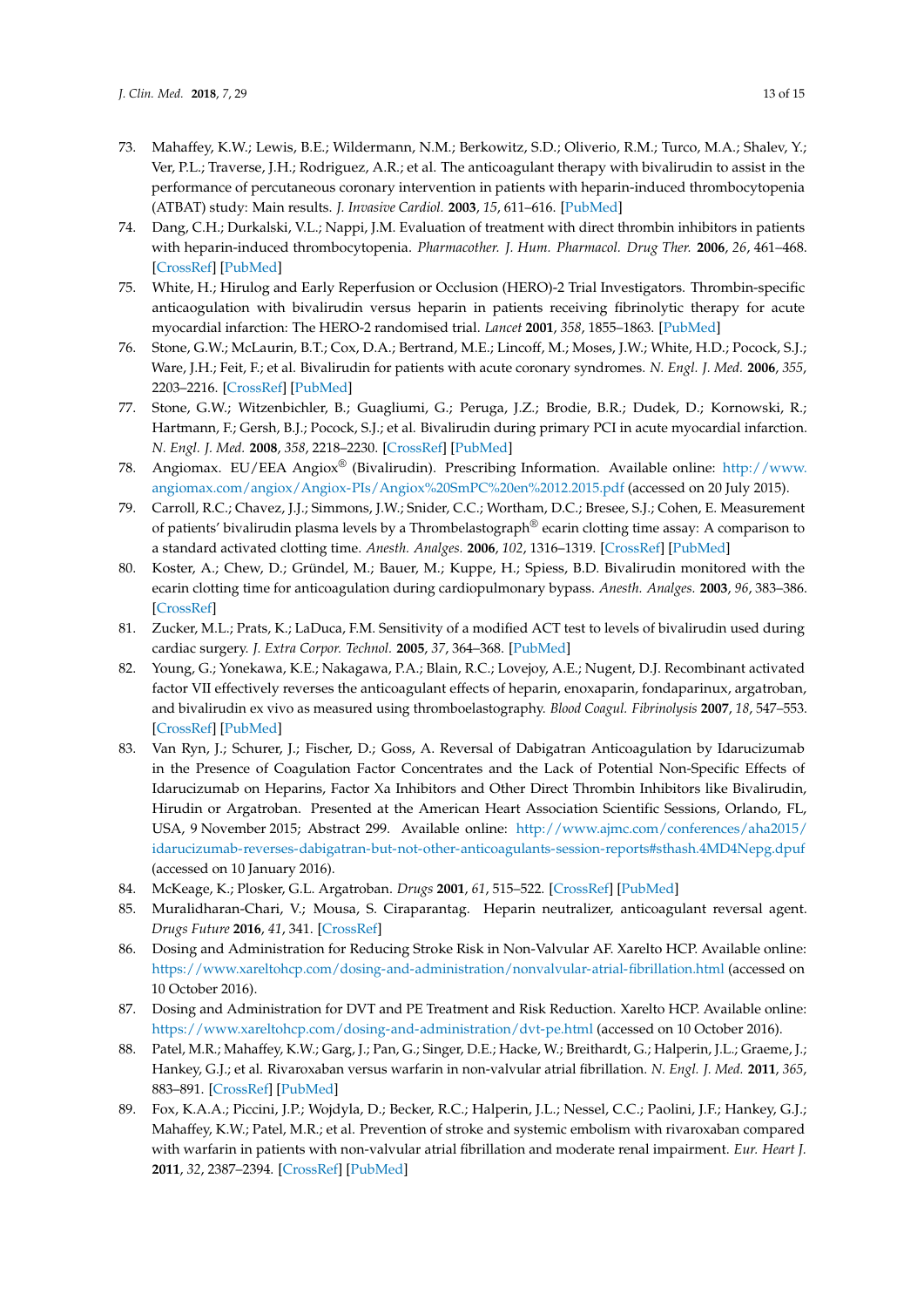- <span id="page-12-0"></span>73. Mahaffey, K.W.; Lewis, B.E.; Wildermann, N.M.; Berkowitz, S.D.; Oliverio, R.M.; Turco, M.A.; Shalev, Y.; Ver, P.L.; Traverse, J.H.; Rodriguez, A.R.; et al. The anticoagulant therapy with bivalirudin to assist in the performance of percutaneous coronary intervention in patients with heparin-induced thrombocytopenia (ATBAT) study: Main results. *J. Invasive Cardiol.* **2003**, *15*, 611–616. [\[PubMed\]](http://www.ncbi.nlm.nih.gov/pubmed/14608128)
- <span id="page-12-1"></span>74. Dang, C.H.; Durkalski, V.L.; Nappi, J.M. Evaluation of treatment with direct thrombin inhibitors in patients with heparin-induced thrombocytopenia. *Pharmacother. J. Hum. Pharmacol. Drug Ther.* **2006**, *26*, 461–468. [\[CrossRef\]](http://dx.doi.org/10.1592/phco.26.4.461) [\[PubMed\]](http://www.ncbi.nlm.nih.gov/pubmed/16553503)
- 75. White, H.; Hirulog and Early Reperfusion or Occlusion (HERO)-2 Trial Investigators. Thrombin-specific anticaogulation with bivalirudin versus heparin in patients receiving fibrinolytic therapy for acute myocardial infarction: The HERO-2 randomised trial. *Lancet* **2001**, *358*, 1855–1863. [\[PubMed\]](http://www.ncbi.nlm.nih.gov/pubmed/11741625)
- 76. Stone, G.W.; McLaurin, B.T.; Cox, D.A.; Bertrand, M.E.; Lincoff, M.; Moses, J.W.; White, H.D.; Pocock, S.J.; Ware, J.H.; Feit, F.; et al. Bivalirudin for patients with acute coronary syndromes. *N. Engl. J. Med.* **2006**, *355*, 2203–2216. [\[CrossRef\]](http://dx.doi.org/10.1056/NEJMoa062437) [\[PubMed\]](http://www.ncbi.nlm.nih.gov/pubmed/17124018)
- <span id="page-12-2"></span>77. Stone, G.W.; Witzenbichler, B.; Guagliumi, G.; Peruga, J.Z.; Brodie, B.R.; Dudek, D.; Kornowski, R.; Hartmann, F.; Gersh, B.J.; Pocock, S.J.; et al. Bivalirudin during primary PCI in acute myocardial infarction. *N. Engl. J. Med.* **2008**, *358*, 2218–2230. [\[CrossRef\]](http://dx.doi.org/10.1056/NEJMoa0708191) [\[PubMed\]](http://www.ncbi.nlm.nih.gov/pubmed/18499566)
- <span id="page-12-3"></span>78. Angiomax. EU/EEA Angiox® (Bivalirudin). Prescribing Information. Available online: [http://www.](http://www.angiomax.com/angiox/Angiox-PIs/Angiox%20SmPC%20en%2012.2015.pdf) [angiomax.com/angiox/Angiox-PIs/Angiox%20SmPC%20en%2012.2015.pdf](http://www.angiomax.com/angiox/Angiox-PIs/Angiox%20SmPC%20en%2012.2015.pdf) (accessed on 20 July 2015).
- <span id="page-12-4"></span>79. Carroll, R.C.; Chavez, J.J.; Simmons, J.W.; Snider, C.C.; Wortham, D.C.; Bresee, S.J.; Cohen, E. Measurement of patients' bivalirudin plasma levels by a Thrombelastograph<sup>®</sup> ecarin clotting time assay: A comparison to a standard activated clotting time. *Anesth. Analges.* **2006**, *102*, 1316–1319. [\[CrossRef\]](http://dx.doi.org/10.1213/01.ane.0000205746.50440.98) [\[PubMed\]](http://www.ncbi.nlm.nih.gov/pubmed/16632802)
- <span id="page-12-5"></span>80. Koster, A.; Chew, D.; Gründel, M.; Bauer, M.; Kuppe, H.; Spiess, B.D. Bivalirudin monitored with the ecarin clotting time for anticoagulation during cardiopulmonary bypass. *Anesth. Analges.* **2003**, *96*, 383–386. [\[CrossRef\]](http://dx.doi.org/10.1213/00000539-200302000-00015)
- <span id="page-12-6"></span>81. Zucker, M.L.; Prats, K.; LaDuca, F.M. Sensitivity of a modified ACT test to levels of bivalirudin used during cardiac surgery. *J. Extra Corpor. Technol.* **2005**, *37*, 364–368. [\[PubMed\]](http://www.ncbi.nlm.nih.gov/pubmed/16524153)
- <span id="page-12-7"></span>82. Young, G.; Yonekawa, K.E.; Nakagawa, P.A.; Blain, R.C.; Lovejoy, A.E.; Nugent, D.J. Recombinant activated factor VII effectively reverses the anticoagulant effects of heparin, enoxaparin, fondaparinux, argatroban, and bivalirudin ex vivo as measured using thromboelastography. *Blood Coagul. Fibrinolysis* **2007**, *18*, 547–553. [\[CrossRef\]](http://dx.doi.org/10.1097/MBC.0b013e328201c9a9) [\[PubMed\]](http://www.ncbi.nlm.nih.gov/pubmed/17762530)
- <span id="page-12-8"></span>83. Van Ryn, J.; Schurer, J.; Fischer, D.; Goss, A. Reversal of Dabigatran Anticoagulation by Idarucizumab in the Presence of Coagulation Factor Concentrates and the Lack of Potential Non-Specific Effects of Idarucizumab on Heparins, Factor Xa Inhibitors and Other Direct Thrombin Inhibitors like Bivalirudin, Hirudin or Argatroban. Presented at the American Heart Association Scientific Sessions, Orlando, FL, USA, 9 November 2015; Abstract 299. Available online: [http://www.ajmc.com/conferences/aha2015/](http://www.ajmc.com/conferences/aha2015/idarucizumab-reverses-dabigatran-but-not-other-anticoagulants-session-reports#sthash.4MD4Nepg.dpuf) [idarucizumab-reverses-dabigatran-but-not-other-anticoagulants-session-reports#sthash.4MD4Nepg.dpuf](http://www.ajmc.com/conferences/aha2015/idarucizumab-reverses-dabigatran-but-not-other-anticoagulants-session-reports#sthash.4MD4Nepg.dpuf) (accessed on 10 January 2016).
- <span id="page-12-9"></span>84. McKeage, K.; Plosker, G.L. Argatroban. *Drugs* **2001**, *61*, 515–522. [\[CrossRef\]](http://dx.doi.org/10.2165/00003495-200161040-00005) [\[PubMed\]](http://www.ncbi.nlm.nih.gov/pubmed/11324681)
- <span id="page-12-10"></span>85. Muralidharan-Chari, V.; Mousa, S. Ciraparantag. Heparin neutralizer, anticoagulant reversal agent. *Drugs Future* **2016**, *41*, 341. [\[CrossRef\]](http://dx.doi.org/10.1358/dof.2016.041.06.2490311)
- <span id="page-12-11"></span>86. Dosing and Administration for Reducing Stroke Risk in Non-Valvular AF. Xarelto HCP. Available online: <https://www.xareltohcp.com/dosing-and-administration/nonvalvular-atrial-fibrillation.html> (accessed on 10 October 2016).
- <span id="page-12-12"></span>87. Dosing and Administration for DVT and PE Treatment and Risk Reduction. Xarelto HCP. Available online: <https://www.xareltohcp.com/dosing-and-administration/dvt-pe.html> (accessed on 10 October 2016).
- <span id="page-12-13"></span>88. Patel, M.R.; Mahaffey, K.W.; Garg, J.; Pan, G.; Singer, D.E.; Hacke, W.; Breithardt, G.; Halperin, J.L.; Graeme, J.; Hankey, G.J.; et al. Rivaroxaban versus warfarin in non-valvular atrial fibrillation. *N. Engl. J. Med.* **2011**, *365*, 883–891. [\[CrossRef\]](http://dx.doi.org/10.1056/NEJMoa1009638) [\[PubMed\]](http://www.ncbi.nlm.nih.gov/pubmed/21830957)
- 89. Fox, K.A.A.; Piccini, J.P.; Wojdyla, D.; Becker, R.C.; Halperin, J.L.; Nessel, C.C.; Paolini, J.F.; Hankey, G.J.; Mahaffey, K.W.; Patel, M.R.; et al. Prevention of stroke and systemic embolism with rivaroxaban compared with warfarin in patients with non-valvular atrial fibrillation and moderate renal impairment. *Eur. Heart J.* **2011**, *32*, 2387–2394. [\[CrossRef\]](http://dx.doi.org/10.1093/eurheartj/ehr342) [\[PubMed\]](http://www.ncbi.nlm.nih.gov/pubmed/21873708)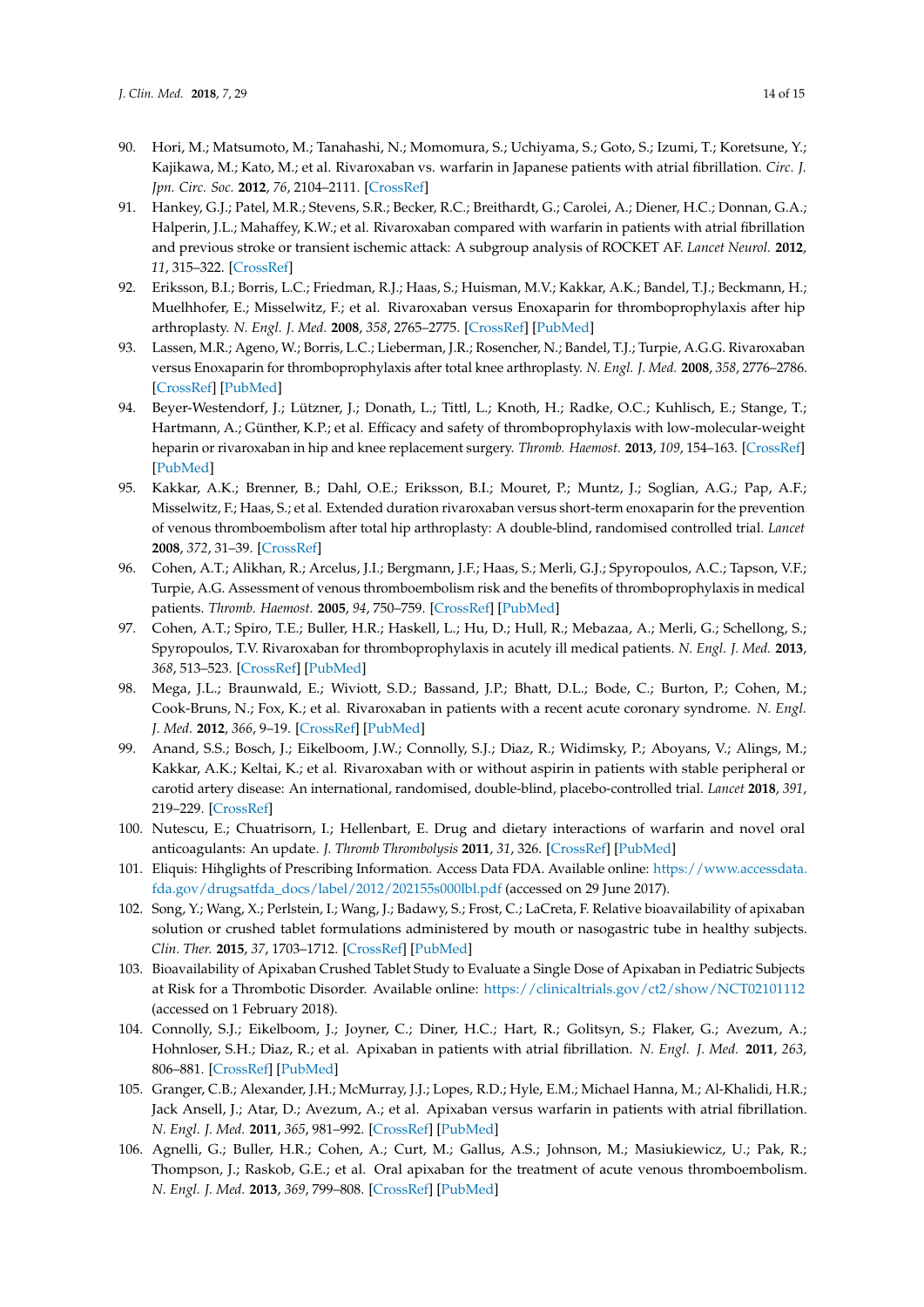- <span id="page-13-0"></span>90. Hori, M.; Matsumoto, M.; Tanahashi, N.; Momomura, S.; Uchiyama, S.; Goto, S.; Izumi, T.; Koretsune, Y.; Kajikawa, M.; Kato, M.; et al. Rivaroxaban vs. warfarin in Japanese patients with atrial fibrillation. *Circ. J. Jpn. Circ. Soc.* **2012**, *76*, 2104–2111. [\[CrossRef\]](http://dx.doi.org/10.1253/circj.CJ-12-0454)
- <span id="page-13-1"></span>91. Hankey, G.J.; Patel, M.R.; Stevens, S.R.; Becker, R.C.; Breithardt, G.; Carolei, A.; Diener, H.C.; Donnan, G.A.; Halperin, J.L.; Mahaffey, K.W.; et al. Rivaroxaban compared with warfarin in patients with atrial fibrillation and previous stroke or transient ischemic attack: A subgroup analysis of ROCKET AF. *Lancet Neurol.* **2012**, *11*, 315–322. [\[CrossRef\]](http://dx.doi.org/10.1016/S1474-4422(12)70042-X)
- <span id="page-13-2"></span>92. Eriksson, B.I.; Borris, L.C.; Friedman, R.J.; Haas, S.; Huisman, M.V.; Kakkar, A.K.; Bandel, T.J.; Beckmann, H.; Muelhhofer, E.; Misselwitz, F.; et al. Rivaroxaban versus Enoxaparin for thromboprophylaxis after hip arthroplasty. *N. Engl. J. Med.* **2008**, *358*, 2765–2775. [\[CrossRef\]](http://dx.doi.org/10.1056/NEJMoa0800374) [\[PubMed\]](http://www.ncbi.nlm.nih.gov/pubmed/18579811)
- <span id="page-13-3"></span>93. Lassen, M.R.; Ageno, W.; Borris, L.C.; Lieberman, J.R.; Rosencher, N.; Bandel, T.J.; Turpie, A.G.G. Rivaroxaban versus Enoxaparin for thromboprophylaxis after total knee arthroplasty. *N. Engl. J. Med.* **2008**, *358*, 2776–2786. [\[CrossRef\]](http://dx.doi.org/10.1056/NEJMoa076016) [\[PubMed\]](http://www.ncbi.nlm.nih.gov/pubmed/18579812)
- 94. Beyer-Westendorf, J.; Lützner, J.; Donath, L.; Tittl, L.; Knoth, H.; Radke, O.C.; Kuhlisch, E.; Stange, T.; Hartmann, A.; Günther, K.P.; et al. Efficacy and safety of thromboprophylaxis with low-molecular-weight heparin or rivaroxaban in hip and knee replacement surgery. *Thromb. Haemost.* **2013**, *109*, 154–163. [\[CrossRef\]](http://dx.doi.org/10.1160/TH12-07-0510) [\[PubMed\]](http://www.ncbi.nlm.nih.gov/pubmed/23197272)
- <span id="page-13-4"></span>95. Kakkar, A.K.; Brenner, B.; Dahl, O.E.; Eriksson, B.I.; Mouret, P.; Muntz, J.; Soglian, A.G.; Pap, A.F.; Misselwitz, F.; Haas, S.; et al. Extended duration rivaroxaban versus short-term enoxaparin for the prevention of venous thromboembolism after total hip arthroplasty: A double-blind, randomised controlled trial. *Lancet* **2008**, *372*, 31–39. [\[CrossRef\]](http://dx.doi.org/10.1016/S0140-6736(08)60880-6)
- <span id="page-13-5"></span>96. Cohen, A.T.; Alikhan, R.; Arcelus, J.I.; Bergmann, J.F.; Haas, S.; Merli, G.J.; Spyropoulos, A.C.; Tapson, V.F.; Turpie, A.G. Assessment of venous thromboembolism risk and the benefits of thromboprophylaxis in medical patients. *Thromb. Haemost.* **2005**, *94*, 750–759. [\[CrossRef\]](http://dx.doi.org/10.1160/TH05-06-0385) [\[PubMed\]](http://www.ncbi.nlm.nih.gov/pubmed/16270626)
- <span id="page-13-6"></span>97. Cohen, A.T.; Spiro, T.E.; Buller, H.R.; Haskell, L.; Hu, D.; Hull, R.; Mebazaa, A.; Merli, G.; Schellong, S.; Spyropoulos, T.V. Rivaroxaban for thromboprophylaxis in acutely ill medical patients. *N. Engl. J. Med.* **2013**, *368*, 513–523. [\[CrossRef\]](http://dx.doi.org/10.1056/NEJMoa1111096) [\[PubMed\]](http://www.ncbi.nlm.nih.gov/pubmed/23388003)
- <span id="page-13-7"></span>98. Mega, J.L.; Braunwald, E.; Wiviott, S.D.; Bassand, J.P.; Bhatt, D.L.; Bode, C.; Burton, P.; Cohen, M.; Cook-Bruns, N.; Fox, K.; et al. Rivaroxaban in patients with a recent acute coronary syndrome. *N. Engl. J. Med.* **2012**, *366*, 9–19. [\[CrossRef\]](http://dx.doi.org/10.1056/NEJMoa1112277) [\[PubMed\]](http://www.ncbi.nlm.nih.gov/pubmed/22077192)
- <span id="page-13-8"></span>99. Anand, S.S.; Bosch, J.; Eikelboom, J.W.; Connolly, S.J.; Diaz, R.; Widimsky, P.; Aboyans, V.; Alings, M.; Kakkar, A.K.; Keltai, K.; et al. Rivaroxaban with or without aspirin in patients with stable peripheral or carotid artery disease: An international, randomised, double-blind, placebo-controlled trial. *Lancet* **2018**, *391*, 219–229. [\[CrossRef\]](http://dx.doi.org/10.1016/S0140-6736(17)32409-1)
- <span id="page-13-9"></span>100. Nutescu, E.; Chuatrisorn, I.; Hellenbart, E. Drug and dietary interactions of warfarin and novel oral anticoagulants: An update. *J. Thromb Thrombolysis* **2011**, *31*, 326. [\[CrossRef\]](http://dx.doi.org/10.1007/s11239-011-0561-1) [\[PubMed\]](http://www.ncbi.nlm.nih.gov/pubmed/21359645)
- <span id="page-13-10"></span>101. Eliquis: Hihglights of Prescribing Information. Access Data FDA. Available online: [https://www.accessdata.](https://www.accessdata.fda.gov/drugsatfda_docs/label/2012/202155s000lbl.pdf) [fda.gov/drugsatfda\\_docs/label/2012/202155s000lbl.pdf](https://www.accessdata.fda.gov/drugsatfda_docs/label/2012/202155s000lbl.pdf) (accessed on 29 June 2017).
- <span id="page-13-11"></span>102. Song, Y.; Wang, X.; Perlstein, I.; Wang, J.; Badawy, S.; Frost, C.; LaCreta, F. Relative bioavailability of apixaban solution or crushed tablet formulations administered by mouth or nasogastric tube in healthy subjects. *Clin. Ther.* **2015**, *37*, 1703–1712. [\[CrossRef\]](http://dx.doi.org/10.1016/j.clinthera.2015.05.497) [\[PubMed\]](http://www.ncbi.nlm.nih.gov/pubmed/26188837)
- <span id="page-13-12"></span>103. Bioavailability of Apixaban Crushed Tablet Study to Evaluate a Single Dose of Apixaban in Pediatric Subjects at Risk for a Thrombotic Disorder. Available online: <https://clinicaltrials.gov/ct2/show/NCT02101112> (accessed on 1 February 2018).
- <span id="page-13-13"></span>104. Connolly, S.J.; Eikelboom, J.; Joyner, C.; Diner, H.C.; Hart, R.; Golitsyn, S.; Flaker, G.; Avezum, A.; Hohnloser, S.H.; Diaz, R.; et al. Apixaban in patients with atrial fibrillation. *N. Engl. J. Med.* **2011**, *263*, 806–881. [\[CrossRef\]](http://dx.doi.org/10.1056/NEJMoa1007432) [\[PubMed\]](http://www.ncbi.nlm.nih.gov/pubmed/21309657)
- <span id="page-13-14"></span>105. Granger, C.B.; Alexander, J.H.; McMurray, J.J.; Lopes, R.D.; Hyle, E.M.; Michael Hanna, M.; Al-Khalidi, H.R.; Jack Ansell, J.; Atar, D.; Avezum, A.; et al. Apixaban versus warfarin in patients with atrial fibrillation. *N. Engl. J. Med.* **2011**, *365*, 981–992. [\[CrossRef\]](http://dx.doi.org/10.1056/NEJMoa1107039) [\[PubMed\]](http://www.ncbi.nlm.nih.gov/pubmed/21870978)
- <span id="page-13-15"></span>106. Agnelli, G.; Buller, H.R.; Cohen, A.; Curt, M.; Gallus, A.S.; Johnson, M.; Masiukiewicz, U.; Pak, R.; Thompson, J.; Raskob, G.E.; et al. Oral apixaban for the treatment of acute venous thromboembolism. *N. Engl. J. Med.* **2013**, *369*, 799–808. [\[CrossRef\]](http://dx.doi.org/10.1056/NEJMoa1302507) [\[PubMed\]](http://www.ncbi.nlm.nih.gov/pubmed/23808982)